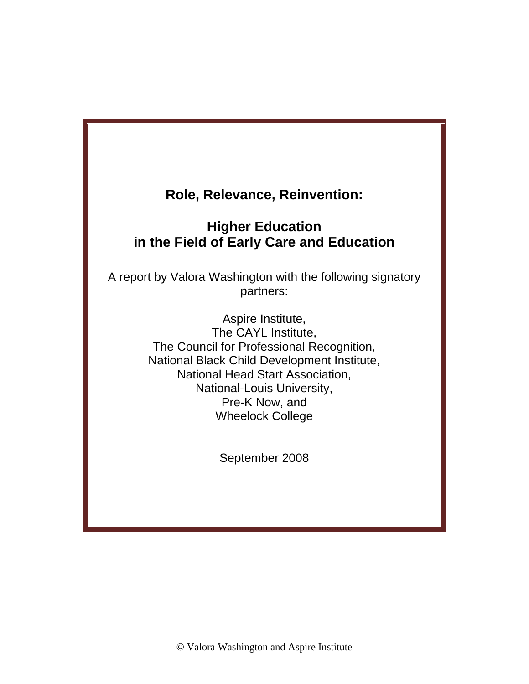# **Higher Education in the Field of Early Care and Education**

A report by Valora Washington with the following signatory partners:

> Aspire Institute, The CAYL Institute, The Council for Professional Recognition, National Black Child Development Institute, National Head Start Association, National-Louis University, Pre-K Now, and Wheelock College

> > September 2008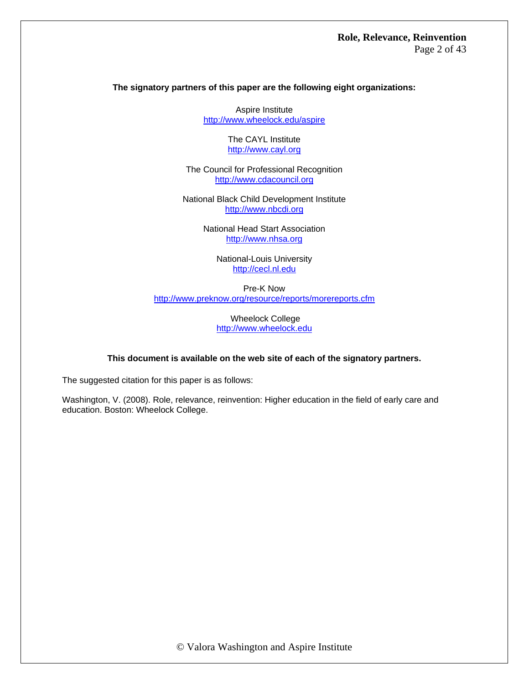### **The signatory partners of this paper are the following eight organizations:**

Aspire Institute <http://www.wheelock.edu/aspire>

> The CAYL Institute [http://www.cayl.org](http://www.cayl.org/)

The Council for Professional Recognition [http://www.cdacouncil.org](http://www.cdacouncil.org/) 

National Black Child Development Institute [http://www.nbcdi.org](http://www.nbcdi.org/)

> National Head Start Association [http://www.nhsa.org](http://www.nhsa.org/)

> > National-Louis University [http://cecl.nl.edu](http://cecl.nl.edu/)

Pre-K Now <http://www.preknow.org/resource/reports/morereports.cfm>

> Wheelock College [http://www.wheelock.edu](http://www.wheelock.edu/)

#### **This document is available on the web site of each of the signatory partners.**

The suggested citation for this paper is as follows:

Washington, V. (2008). Role, relevance, reinvention: Higher education in the field of early care and education. Boston: Wheelock College.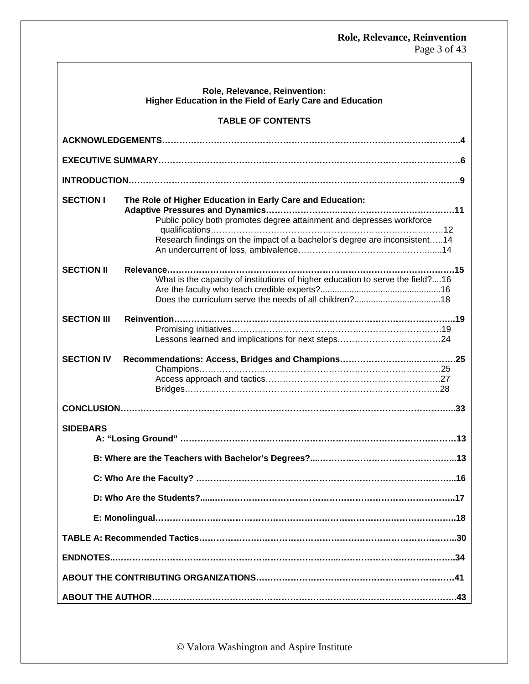Page 3 of 43

|                                                           | Role, Relevance, Reinvention:                                                                                                                                                                                   |  |  |  |  |
|-----------------------------------------------------------|-----------------------------------------------------------------------------------------------------------------------------------------------------------------------------------------------------------------|--|--|--|--|
| Higher Education in the Field of Early Care and Education |                                                                                                                                                                                                                 |  |  |  |  |
|                                                           | <b>TABLE OF CONTENTS</b>                                                                                                                                                                                        |  |  |  |  |
|                                                           |                                                                                                                                                                                                                 |  |  |  |  |
|                                                           |                                                                                                                                                                                                                 |  |  |  |  |
|                                                           |                                                                                                                                                                                                                 |  |  |  |  |
| <b>SECTION I</b>                                          | The Role of Higher Education in Early Care and Education:<br>Public policy both promotes degree attainment and depresses workforce<br>Research findings on the impact of a bachelor's degree are inconsistent14 |  |  |  |  |
| <b>SECTION II</b>                                         | What is the capacity of institutions of higher education to serve the field?16                                                                                                                                  |  |  |  |  |
| <b>SECTION III</b>                                        |                                                                                                                                                                                                                 |  |  |  |  |
| <b>SECTION IV</b>                                         |                                                                                                                                                                                                                 |  |  |  |  |
|                                                           |                                                                                                                                                                                                                 |  |  |  |  |
| <b>SIDEBARS</b>                                           |                                                                                                                                                                                                                 |  |  |  |  |
|                                                           | B: Where are the Teachers with Bachelor's Degrees?.<br>.13                                                                                                                                                      |  |  |  |  |
|                                                           |                                                                                                                                                                                                                 |  |  |  |  |
|                                                           |                                                                                                                                                                                                                 |  |  |  |  |
|                                                           |                                                                                                                                                                                                                 |  |  |  |  |
|                                                           |                                                                                                                                                                                                                 |  |  |  |  |
|                                                           |                                                                                                                                                                                                                 |  |  |  |  |
|                                                           |                                                                                                                                                                                                                 |  |  |  |  |
|                                                           | .43                                                                                                                                                                                                             |  |  |  |  |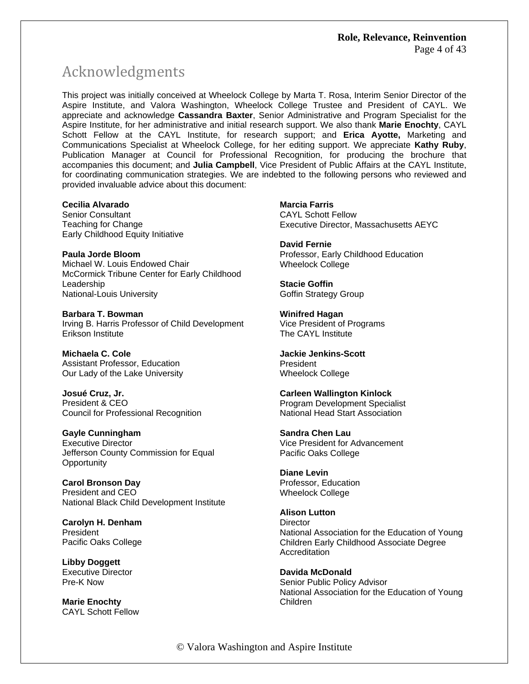# Acknowledgments

This project was initially conceived at Wheelock College by Marta T. Rosa, Interim Senior Director of the Aspire Institute, and Valora Washington, Wheelock College Trustee and President of CAYL. We appreciate and acknowledge **Cassandra Baxter**, Senior Administrative and Program Specialist for the Aspire Institute, for her administrative and initial research support. We also thank **Marie Enochty**, CAYL Schott Fellow at the CAYL Institute, for research support; and **Erica Ayotte,** Marketing and Communications Specialist at Wheelock College, for her editing support. We appreciate **Kathy Ruby**, Publication Manager at Council for Professional Recognition, for producing the brochure that accompanies this document; and **Julia Campbell**, Vice President of Public Affairs at the CAYL Institute, for coordinating communication strategies. We are indebted to the following persons who reviewed and provided invaluable advice about this document:

**Cecilia Alvarado**  Senior Consultant Teaching for Change Early Childhood Equity Initiative

**Paula Jorde Bloom**  Michael W. Louis Endowed Chair McCormick Tribune Center for Early Childhood Leadership National-Louis University

**Barbara T. Bowman**  Irving B. Harris Professor of Child Development Erikson Institute

**Michaela C. Cole**  Assistant Professor, Education Our Lady of the Lake University

**Josué Cruz, Jr.**  President & CEO Council for Professional Recognition

**Gayle Cunningham**  Executive Director

Jefferson County Commission for Equal **Opportunity** 

**Carol Bronson Day**  President and CEO National Black Child Development Institute

**Carolyn H. Denham**  President Pacific Oaks College

**Libby Doggett**  Executive Director Pre-K Now

**Marie Enochty**  CAYL Schott Fellow **Marcia Farris**  CAYL Schott Fellow

Executive Director, Massachusetts AEYC

**David Fernie**  Professor, Early Childhood Education Wheelock College

**Stacie Goffin** Goffin Strategy Group

**Winifred Hagan**  Vice President of Programs The CAYL Institute

**Jackie Jenkins-Scott**  President Wheelock College

**Carleen Wallington Kinlock**  Program Development Specialist National Head Start Association

**Sandra Chen Lau**  Vice President for Advancement Pacific Oaks College

**Diane Levin**  Professor, Education Wheelock College

**Alison Lutton Director** National Association for the Education of Young Children Early Childhood Associate Degree **Accreditation** 

**Davida McDonald**  Senior Public Policy Advisor National Association for the Education of Young Children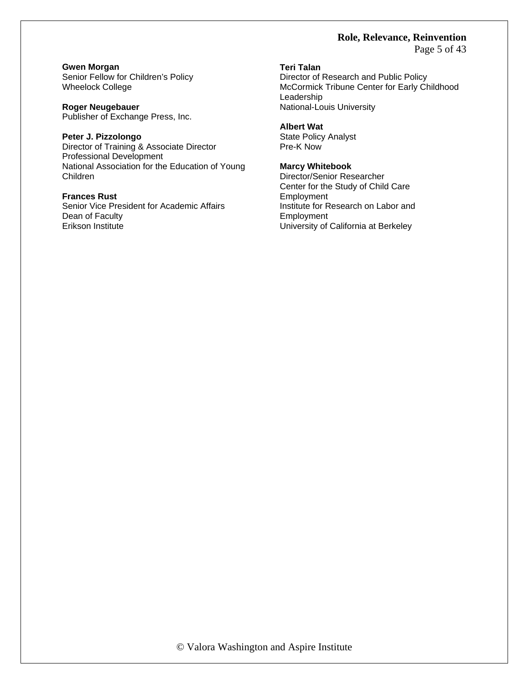Page 5 of 43

**Gwen Morgan**  Senior Fellow for Children's Policy Wheelock College

**Roger Neugebauer**  Publisher of Exchange Press, Inc.

**Peter J. Pizzolongo**  Director of Training & Associate Director Professional Development National Association for the Education of Young Children

### **Frances Rust**

Senior Vice President for Academic Affairs Dean of Faculty Erikson Institute

### **Teri Talan**

Director of Research and Public Policy McCormick Tribune Center for Early Childhood Leadership National-Louis University

#### **Albert Wat**

State Policy Analyst Pre-K Now

### **Marcy Whitebook**

Director/Senior Researcher Center for the Study of Child Care Employment Institute for Research on Labor and **Employment** University of California at Berkeley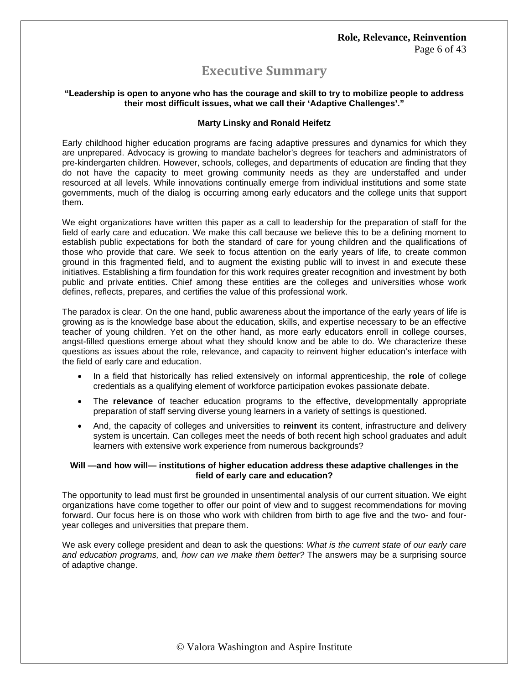# **Executive Summary**

### **"Leadership is open to anyone who has the courage and skill to try to mobilize people to address their most difficult issues, what we call their 'Adaptive Challenges'."**

### **Marty Linsky and Ronald Heifetz**

Early childhood higher education programs are facing adaptive pressures and dynamics for which they are unprepared. Advocacy is growing to mandate bachelor's degrees for teachers and administrators of pre-kindergarten children. However, schools, colleges, and departments of education are finding that they do not have the capacity to meet growing community needs as they are understaffed and under resourced at all levels. While innovations continually emerge from individual institutions and some state governments, much of the dialog is occurring among early educators and the college units that support them.

We eight organizations have written this paper as a call to leadership for the preparation of staff for the field of early care and education. We make this call because we believe this to be a defining moment to establish public expectations for both the standard of care for young children and the qualifications of those who provide that care. We seek to focus attention on the early years of life, to create common ground in this fragmented field, and to augment the existing public will to invest in and execute these initiatives. Establishing a firm foundation for this work requires greater recognition and investment by both public and private entities. Chief among these entities are the colleges and universities whose work defines, reflects, prepares, and certifies the value of this professional work.

The paradox is clear. On the one hand, public awareness about the importance of the early years of life is growing as is the knowledge base about the education, skills, and expertise necessary to be an effective teacher of young children. Yet on the other hand, as more early educators enroll in college courses, angst-filled questions emerge about what they should know and be able to do. We characterize these questions as issues about the role, relevance, and capacity to reinvent higher education's interface with the field of early care and education.

- In a field that historically has relied extensively on informal apprenticeship, the **role** of college credentials as a qualifying element of workforce participation evokes passionate debate.
- The **relevance** of teacher education programs to the effective, developmentally appropriate preparation of staff serving diverse young learners in a variety of settings is questioned.
- And, the capacity of colleges and universities to **reinvent** its content, infrastructure and delivery system is uncertain. Can colleges meet the needs of both recent high school graduates and adult learners with extensive work experience from numerous backgrounds?

### **Will —and how will— institutions of higher education address these adaptive challenges in the field of early care and education?**

The opportunity to lead must first be grounded in unsentimental analysis of our current situation. We eight organizations have come together to offer our point of view and to suggest recommendations for moving forward. Our focus here is on those who work with children from birth to age five and the two- and fouryear colleges and universities that prepare them.

We ask every college president and dean to ask the questions: *What is the current state of our early care and education programs,* and*, how can we make them better?* The answers may be a surprising source of adaptive change.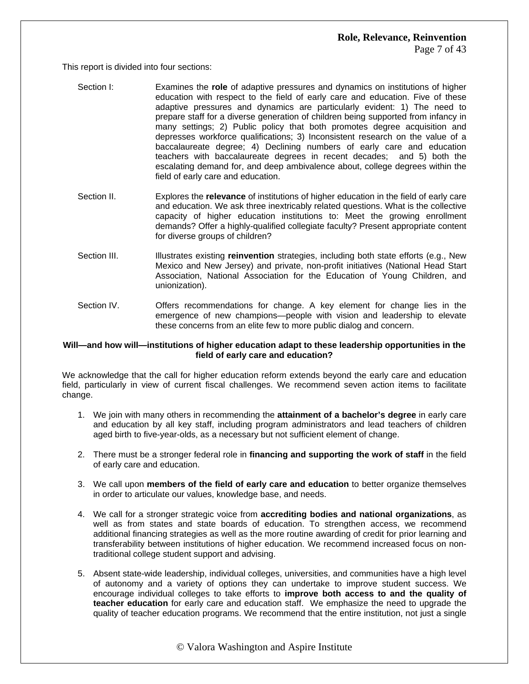This report is divided into four sections:

- Section I: Examines the **role** of adaptive pressures and dynamics on institutions of higher education with respect to the field of early care and education. Five of these adaptive pressures and dynamics are particularly evident: 1) The need to prepare staff for a diverse generation of children being supported from infancy in many settings; 2) Public policy that both promotes degree acquisition and depresses workforce qualifications; 3) Inconsistent research on the value of a baccalaureate degree; 4) Declining numbers of early care and education teachers with baccalaureate degrees in recent decades; and 5) both the escalating demand for, and deep ambivalence about, college degrees within the field of early care and education.
- Section II. Explores the **relevance** of institutions of higher education in the field of early care and education. We ask three inextricably related questions. What is the collective capacity of higher education institutions to: Meet the growing enrollment demands? Offer a highly-qualified collegiate faculty? Present appropriate content for diverse groups of children?
- Section III. **Illustrates existing reinvention** strategies, including both state efforts (e.g., New Mexico and New Jersey) and private, non-profit initiatives (National Head Start Association, National Association for the Education of Young Children, and unionization).
- Section IV. Offers recommendations for change. A key element for change lies in the emergence of new champions—people with vision and leadership to elevate these concerns from an elite few to more public dialog and concern.

### **Will—and how will—institutions of higher education adapt to these leadership opportunities in the field of early care and education?**

We acknowledge that the call for higher education reform extends beyond the early care and education field, particularly in view of current fiscal challenges. We recommend seven action items to facilitate change.

- 1. We join with many others in recommending the **attainment of a bachelor's degree** in early care and education by all key staff, including program administrators and lead teachers of children aged birth to five-year-olds, as a necessary but not sufficient element of change.
- 2. There must be a stronger federal role in **financing and supporting the work of staff** in the field of early care and education.
- 3. We call upon **members of the field of early care and education** to better organize themselves in order to articulate our values, knowledge base, and needs.
- 4. We call for a stronger strategic voice from **accrediting bodies and national organizations**, as well as from states and state boards of education. To strengthen access, we recommend additional financing strategies as well as the more routine awarding of credit for prior learning and transferability between institutions of higher education. We recommend increased focus on nontraditional college student support and advising.
- 5. Absent state-wide leadership, individual colleges, universities, and communities have a high level of autonomy and a variety of options they can undertake to improve student success. We encourage individual colleges to take efforts to **improve both access to and the quality of teacher education** for early care and education staff. We emphasize the need to upgrade the quality of teacher education programs. We recommend that the entire institution, not just a single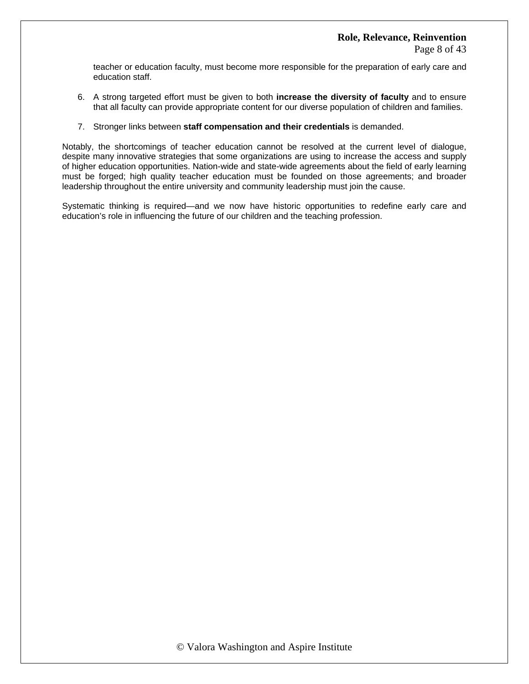teacher or education faculty, must become more responsible for the preparation of early care and education staff.

- 6. A strong targeted effort must be given to both **increase the diversity of faculty** and to ensure that all faculty can provide appropriate content for our diverse population of children and families.
- 7. Stronger links between **staff compensation and their credentials** is demanded.

Notably, the shortcomings of teacher education cannot be resolved at the current level of dialogue, despite many innovative strategies that some organizations are using to increase the access and supply of higher education opportunities. Nation-wide and state-wide agreements about the field of early learning must be forged; high quality teacher education must be founded on those agreements; and broader leadership throughout the entire university and community leadership must join the cause.

Systematic thinking is required—and we now have historic opportunities to redefine early care and education's role in influencing the future of our children and the teaching profession.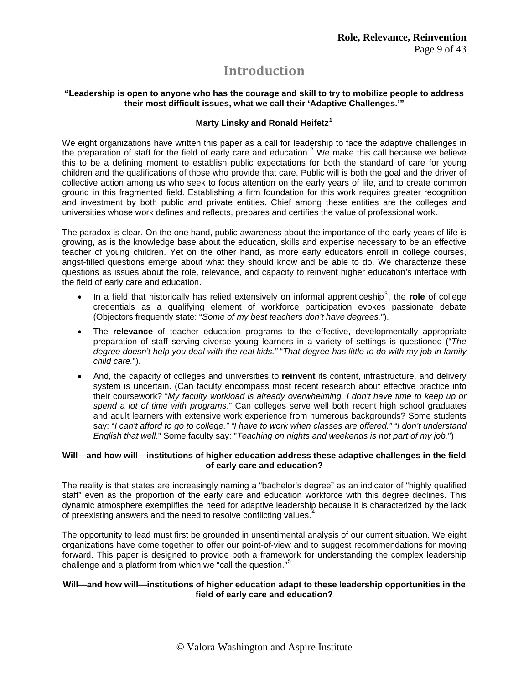# **Introduction**

### **"Leadership is open to anyone who has the courage and skill to try to mobilize people to address their most difficult issues, what we call their 'Adaptive Challenges.'"**

### **Marty Linsky and Ronald Heifetz[1](#page-42-0)**

We eight organizations have written this paper as a call for leadership to face the adaptive challenges in the preparation of staff for the field of early care and education.<sup>[2](#page-42-1)</sup> We make this call because we believe this to be a defining moment to establish public expectations for both the standard of care for young children and the qualifications of those who provide that care. Public will is both the goal and the driver of collective action among us who seek to focus attention on the early years of life, and to create common ground in this fragmented field. Establishing a firm foundation for this work requires greater recognition and investment by both public and private entities. Chief among these entities are the colleges and universities whose work defines and reflects, prepares and certifies the value of professional work.

The paradox is clear. On the one hand, public awareness about the importance of the early years of life is growing, as is the knowledge base about the education, skills and expertise necessary to be an effective teacher of young children. Yet on the other hand, as more early educators enroll in college courses, angst-filled questions emerge about what they should know and be able to do. We characterize these questions as issues about the role, relevance, and capacity to reinvent higher education's interface with the field of early care and education.

- In a field that historically has relied extensively on informal apprenticeship<sup>[3](#page-42-1)</sup>, the role of college credentials as a qualifying element of workforce participation evokes passionate debate (Objectors frequently state: "*Some of my best teachers don't have degrees.*").
- The **relevance** of teacher education programs to the effective, developmentally appropriate preparation of staff serving diverse young learners in a variety of settings is questioned ("*The degree doesn't help you deal with the real kids."* "*That degree has little to do with my job in family child care.*").
- And, the capacity of colleges and universities to **reinvent** its content, infrastructure, and delivery system is uncertain. (Can faculty encompass most recent research about effective practice into their coursework? "*My faculty workload is already overwhelming. I don't have time to keep up or spend a lot of time with programs*." Can colleges serve well both recent high school graduates and adult learners with extensive work experience from numerous backgrounds? Some students say: "*I can't afford to go to college." "I have to work when classes are offered." "I don't understand English that well*." Some faculty say: "*Teaching on nights and weekends is not part of my job.*")

### **Will—and how will—institutions of higher education address these adaptive challenges in the field of early care and education?**

The reality is that states are increasingly naming a "bachelor's degree" as an indicator of "highly qualified staff" even as the proportion of the early care and education workforce with this degree declines. This dynamic atmosphere exemplifies the need for adaptive leadership because it is characterized by the lack of preexisting answers and the need to resolve conflicting values.<sup>[4](#page-42-1)</sup>

The opportunity to lead must first be grounded in unsentimental analysis of our current situation. We eight organizations have come together to offer our point-of-view and to suggest recommendations for moving forward. This paper is designed to provide both a framework for understanding the complex leadership challenge and a platform from which we "call the question."<sup>[5](#page-42-1)</sup>

### **Will—and how will—institutions of higher education adapt to these leadership opportunities in the field of early care and education?**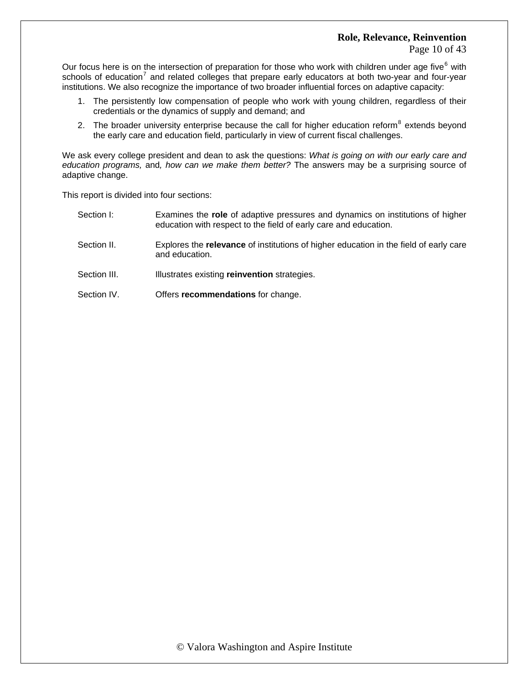Our focus here is on the intersection of preparation for those who work with children under age five  $6$  with schools of education<sup>[7](#page-42-1)</sup> and related colleges that prepare early educators at both two-year and four-year institutions. We also recognize the importance of two broader influential forces on adaptive capacity:

- 1. The persistently low compensation of people who work with young children, regardless of their credentials or the dynamics of supply and demand; and
- 2. The broader university enterprise because the call for higher education reform<sup>[8](#page-42-1)</sup> extends beyond the early care and education field, particularly in view of current fiscal challenges.

We ask every college president and dean to ask the questions: *What is going on with our early care and education programs,* and*, how can we make them better?* The answers may be a surprising source of adaptive change.

This report is divided into four sections:

| Section I:   | Examines the role of adaptive pressures and dynamics on institutions of higher<br>education with respect to the field of early care and education. |
|--------------|----------------------------------------------------------------------------------------------------------------------------------------------------|
| Section II.  | Explores the <b>relevance</b> of institutions of higher education in the field of early care<br>and education.                                     |
| Section III. | Illustrates existing reinvention strategies.                                                                                                       |
| Section IV.  | Offers recommendations for change.                                                                                                                 |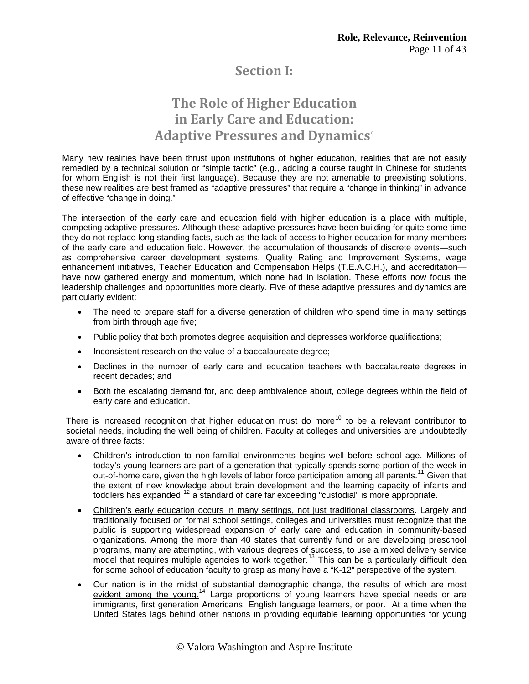# **Section I:**

# **The Role of Higher Education in Early Care and Education: Adaptive Pressures and Dynamics**[9](#page-42-1)

Many new realities have been thrust upon institutions of higher education, realities that are not easily remedied by a technical solution or "simple tactic" (e.g., adding a course taught in Chinese for students for whom English is not their first language). Because they are not amenable to preexisting solutions, these new realities are best framed as "adaptive pressures" that require a "change in thinking" in advance of effective "change in doing."

The intersection of the early care and education field with higher education is a place with multiple, competing adaptive pressures. Although these adaptive pressures have been building for quite some time they do not replace long standing facts, such as the lack of access to higher education for many members of the early care and education field. However, the accumulation of thousands of discrete events—such as comprehensive career development systems, Quality Rating and Improvement Systems, wage enhancement initiatives, Teacher Education and Compensation Helps (T.E.A.C.H.), and accreditation have now gathered energy and momentum, which none had in isolation. These efforts now focus the leadership challenges and opportunities more clearly. Five of these adaptive pressures and dynamics are particularly evident:

- The need to prepare staff for a diverse generation of children who spend time in many settings from birth through age five;
- Public policy that both promotes degree acquisition and depresses workforce qualifications;
- Inconsistent research on the value of a baccalaureate degree;
- Declines in the number of early care and education teachers with baccalaureate degrees in recent decades; and
- Both the escalating demand for, and deep ambivalence about, college degrees within the field of early care and education.

There is increased recognition that higher education must do more<sup>[10](#page-42-1)</sup> to be a relevant contributor to societal needs, including the well being of children. Faculty at colleges and universities are undoubtedly aware of three facts:

- Children's introduction to non-familial environments begins well before school age. Millions of today's young learners are part of a generation that typically spends some portion of the week in out-of-home care, given the high levels of labor force participation among all parents.<sup>[11](#page-42-1)</sup> Given that the extent of new knowledge about brain development and the learning capacity of infants and toddlers has expanded, $12$  a standard of care far exceeding "custodial" is more appropriate.
- Children's early education occurs in many settings, not just traditional classrooms. Largely and traditionally focused on formal school settings, colleges and universities must recognize that the public is supporting widespread expansion of early care and education in community-based organizations. Among the more than 40 states that currently fund or are developing preschool programs, many are attempting, with various degrees of success, to use a mixed delivery service model that requires multiple agencies to work together.<sup>[13](#page-42-1)</sup> This can be a particularly difficult idea for some school of education faculty to grasp as many have a "K-12" perspective of the system.
- Our nation is in the midst of substantial demographic change, the results of which are most evident among the young.<sup>[14](#page-42-1)</sup> Large proportions of young learners have special needs or are immigrants, first generation Americans, English language learners, or poor. At a time when the United States lags behind other nations in providing equitable learning opportunities for young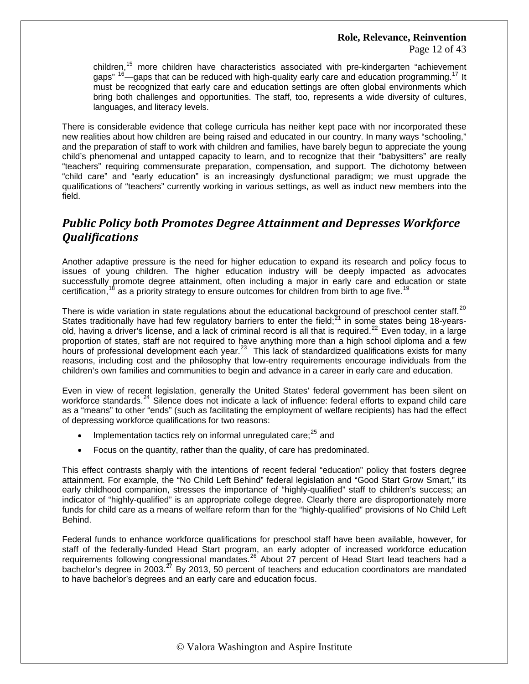Page 12 of 43

children,<sup>15</sup> more children have characteristics associated with pre-kindergarten "achievement gaps"  $^{16}$ —gaps that can be reduced with high-quality early care and education programming.<sup>17</sup> It must be recognized that early care and education settings are often global environments which bring both challenges and opportunities. The staff, too, represents a wide diversity of cultures, languages, and literacy levels.

There is considerable evidence that college curricula has neither kept pace with nor incorporated these new realities about how children are being raised and educated in our country. In many ways "schooling," and the preparation of staff to work with children and families, have barely begun to appreciate the young child's phenomenal and untapped capacity to learn, and to recognize that their "babysitters" are really "teachers" requiring commensurate preparation, compensation, and support. The dichotomy between "child care" and "early education" is an increasingly dysfunctional paradigm; we must upgrade the qualifications of "teachers" currently working in various settings, as well as induct new members into the field.

# *Public Policy both Promotes Degree Attainment and Depresses Workforce Qualifications*

Another adaptive pressure is the need for higher education to expand its research and policy focus to issues of young children. The higher education industry will be deeply impacted as advocates successfully promote degree attainment, often including a major in early care and education or state certification,  $18$  as a priority strategy to ensure outcomes for children from birth to age five.  $19$ 

There is wide variation in state regulations about the educational background of preschool center staff.<sup>[20](#page-42-1)</sup> States traditionally have had few regulatory barriers to enter the field; $^{21}$  $^{21}$  $^{21}$  in some states being 18-years-old, having a driver's license, and a lack of criminal record is all that is required.<sup>[22](#page-42-1)</sup> Even today, in a large proportion of states, staff are not required to have anything more than a high school diploma and a few hours of professional development each year.<sup>[23](#page-42-1)</sup> This lack of standardized qualifications exists for many reasons, including cost and the philosophy that low-entry requirements encourage individuals from the children's own families and communities to begin and advance in a career in early care and education.

Even in view of recent legislation, generally the United States' federal government has been silent on workforce standards.<sup>[24](#page-42-1)</sup> Silence does not indicate a lack of influence: federal efforts to expand child care as a "means" to other "ends" (such as facilitating the employment of welfare recipients) has had the effect of depressing workforce qualifications for two reasons:

- Implementation tactics rely on informal unregulated care;<sup>[25](#page-42-1)</sup> and
- Focus on the quantity, rather than the quality, of care has predominated.

This effect contrasts sharply with the intentions of recent federal "education" policy that fosters degree attainment. For example, the "No Child Left Behind" federal legislation and "Good Start Grow Smart," its early childhood companion, stresses the importance of "highly-qualified" staff to children's success; an indicator of "highly-qualified" is an appropriate college degree. Clearly there are disproportionately more funds for child care as a means of welfare reform than for the "highly-qualified" provisions of No Child Left Behind.

Federal funds to enhance workforce qualifications for preschool staff have been available, however, for staff of the federally-funded Head Start program, an early adopter of increased workforce education requirements following congressional mandates.<sup>[26](#page-42-1)</sup> About 27 percent of Head Start lead teachers had a bachelor's degree in 2003.<sup>[27](#page-42-1)</sup> By 2013, 50 percent of teachers and education coordinators are mandated to have bachelor's degrees and an early care and education focus.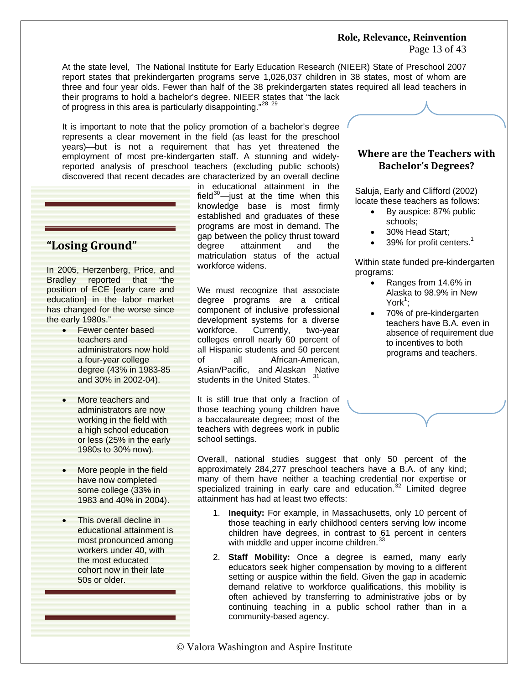Page 13 of 43

At the state level, The National Institute for Early Education Research (NIEER) State of Preschool 2007 report states that prekindergarten programs serve 1,026,037 children in 38 states, most of whom are three and four year olds. Fewer than half of the 38 prekindergarten states required all lead teachers in their programs to hold a bachelor's degree. NIEER states that "the lack

of progress in this area is particularly disappointing."<sup>[28](#page-42-1)</sup><sup>[29](#page-42-1)</sup>

It is important to note that the policy promotion of a bachelor's degree represents a clear movement in the field (as least for the preschool years)—but is not a requirement that has yet threatened the employment of most pre-kindergarten staff. A stunning and widelyreported analysis of preschool teachers (excluding public schools) discovered that recent decades are characterized by an overall decline

## **"Losing Ground"**

In 2005, Herzenberg, Price, and Bradley reported that "the position of ECE [early care and education] in the labor market has changed for the worse since the early 1980s."

- Fewer center based teachers and administrators now hold a four-year college degree (43% in 1983-85 and 30% in 2002-04).
- More teachers and administrators are now working in the field with a high school education or less (25% in the early 1980s to 30% now).
- More people in the field have now completed some college (33% in 1983 and 40% in 2004).
- This overall decline in educational attainment is most pronounced among workers under 40, with the most educated cohort now in their late 50s or older.

in educational attainment in the field $30$ —just at the time when this knowledge base is most firmly established and graduates of these programs are most in demand. The gap between the policy thrust toward degree attainment and the matriculation status of the actual workforce widens.

We must recognize that associate degree programs are a critical component of inclusive professional development systems for a diverse workforce. Currently, two-year colleges enroll nearly 60 percent of all Hispanic students and 50 percent of all African-American, Asian/Pacific, and Alaskan Native students in the United States.

It is still true that only a fraction of those teaching young children have a baccalaureate degree; most of the teachers with degrees work in public school settings.

## **Where are the Teachers with Bachelor's Degrees?**

Saluja, Early and Clifford (2002) locate these teachers as follows:

- By auspice: 87% public schools;
- 30% Head Start;
- 39% for profit centers.<sup>1</sup>

Within state funded pre-kindergarten programs:

- Ranges from 14.6% in Alaska to 98.9% in New  $\mathsf{York}^1;$
- 70% of pre-kindergarten teachers have B.A. even in absence of requirement due to incentives to both programs and teachers.

Overall, national studies suggest that only 50 percent of the approximately 284,277 preschool teachers have a B.A. of any kind; many of them have neither a teaching credential nor expertise or specialized training in early care and education.<sup>[32](#page-42-1)</sup> Limited degree attainment has had at least two effects:

- 1. **Inequity:** For example, in Massachusetts, only 10 percent of those teaching in early childhood centers serving low income children have degrees, in contrast to 61 percent in centers with middle and upper income children.<sup>[33](#page-42-1)</sup>
- 2. **Staff Mobility:** Once a degree is earned, many early educators seek higher compensation by moving to a different setting or auspice within the field. Given the gap in academic demand relative to workforce qualifications, this mobility is often achieved by transferring to administrative jobs or by continuing teaching in a public school rather than in a community-based agency.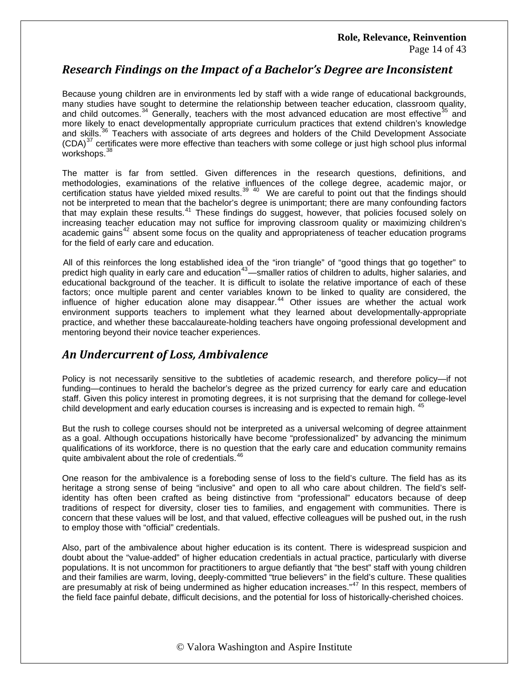### **Role, Relevance, Reinvention** Page 14 of 43

## *Research Findings on the Impact of a Bachelor's Degree are Inconsistent*

Because young children are in environments led by staff with a wide range of educational backgrounds, many studies have sought to determine the relationship between teacher education, classroom quality, and child outcomes. $34$  Generally, teachers with the most advanced education are most effective  $35$  and more likely to enact developmentally appropriate curriculum practices that extend children's knowledge and skills.<sup>[36](#page-42-1)</sup> Teachers with associate of arts degrees and holders of the Child Development Associate  $(CDA)^{37}$  $(CDA)^{37}$  $(CDA)^{37}$  certificates were more effective than teachers with some college or just high school plus informal workshops.<sup>[38](#page-42-1)</sup>

The matter is far from settled. Given differences in the research questions, definitions, and methodologies, examinations of the relative influences of the college degree, academic major, or certification status have yielded mixed results.<sup>[39](#page-42-1) [40](#page-42-1)</sup> We are careful to point out that the findings should not be interpreted to mean that the bachelor's degree is unimportant; there are many confounding factors that may explain these results.<sup>[41](#page-42-1)</sup> These findings do suggest, however, that policies focused solely on increasing teacher education may not suffice for improving classroom quality or maximizing children's academic gains<sup>[42](#page-42-1)</sup> absent some focus on the quality and appropriateness of teacher education programs for the field of early care and education.

 All of this reinforces the long established idea of the "iron triangle" of "good things that go together" to predict high quality in early care and education<sup>[43](#page-42-1)</sup>—smaller ratios of children to adults, higher salaries, and educational background of the teacher. It is difficult to isolate the relative importance of each of these factors; once multiple parent and center variables known to be linked to quality are considered, the influence of higher education alone may disappear.<sup>[44](#page-42-1)</sup> Other issues are whether the actual work environment supports teachers to implement what they learned about developmentally-appropriate practice, and whether these baccalaureate-holding teachers have ongoing professional development and mentoring beyond their novice teacher experiences.

## *An Undercurrent of Loss, Ambivalence*

Policy is not necessarily sensitive to the subtleties of academic research, and therefore policy—if not funding—continues to herald the bachelor's degree as the prized currency for early care and education staff. Given this policy interest in promoting degrees, it is not surprising that the demand for college-level child development and early education courses is increasing and is expected to remain high. <sup>[45](#page-42-1)</sup>

But the rush to college courses should not be interpreted as a universal welcoming of degree attainment as a goal. Although occupations historically have become "professionalized" by advancing the minimum qualifications of its workforce, there is no question that the early care and education community remains quite ambivalent about the role of credentials.<sup>4</sup>

One reason for the ambivalence is a foreboding sense of loss to the field's culture. The field has as its heritage a strong sense of being "inclusive" and open to all who care about children. The field's selfidentity has often been crafted as being distinctive from "professional" educators because of deep traditions of respect for diversity, closer ties to families, and engagement with communities. There is concern that these values will be lost, and that valued, effective colleagues will be pushed out, in the rush to employ those with "official" credentials.

Also, part of the ambivalence about higher education is its content. There is widespread suspicion and doubt about the "value-added" of higher education credentials in actual practice, particularly with diverse populations. It is not uncommon for practitioners to argue defiantly that "the best" staff with young children and their families are warm, loving, deeply-committed "true believers" in the field's culture. These qualities are presumably at risk of being undermined as higher education increases."<sup>[47](#page-42-1)</sup> In this respect, members of the field face painful debate, difficult decisions, and the potential for loss of historically-cherished choices.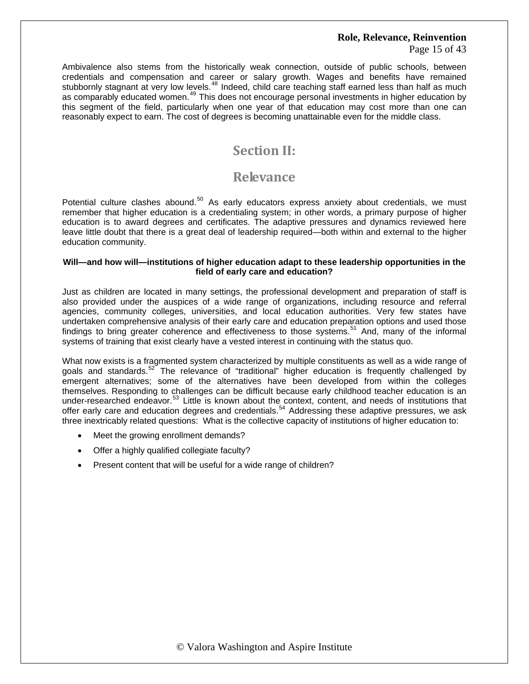Page 15 of 43

Ambivalence also stems from the historically weak connection, outside of public schools, between credentials and compensation and career or salary growth. Wages and benefits have remained stubbornly stagnant at very low levels.<sup>[48](#page-42-1)</sup> Indeed, child care teaching staff earned less than half as much as comparably educated women.<sup>[49](#page-42-1)</sup> This does not encourage personal investments in higher education by this segment of the field, particularly when one year of that education may cost more than one can reasonably expect to earn. The cost of degrees is becoming unattainable even for the middle class.

# **Section II:**

# **Relevance**

Potential culture clashes abound.<sup>[50](#page-42-1)</sup> As early educators express anxiety about credentials, we must remember that higher education is a credentialing system; in other words, a primary purpose of higher education is to award degrees and certificates. The adaptive pressures and dynamics reviewed here leave little doubt that there is a great deal of leadership required—both within and external to the higher education community.

### **Will—and how will—institutions of higher education adapt to these leadership opportunities in the field of early care and education?**

Just as children are located in many settings, the professional development and preparation of staff is also provided under the auspices of a wide range of organizations, including resource and referral agencies, community colleges, universities, and local education authorities. Very few states have undertaken comprehensive analysis of their early care and education preparation options and used those findings to bring greater coherence and effectiveness to those systems. $51$  And, many of the informal systems of training that exist clearly have a vested interest in continuing with the status quo.

What now exists is a fragmented system characterized by multiple constituents as well as a wide range of goals and standards.<sup>[52](#page-42-1)</sup> The relevance of "traditional" higher education is frequently challenged by emergent alternatives; some of the alternatives have been developed from within the colleges themselves. Responding to challenges can be difficult because early childhood teacher education is an under-researched endeavor.<sup>[53](#page-42-1)</sup> Little is known about the context, content, and needs of institutions that offer early care and education degrees and credentials.[54](#page-42-1) Addressing these adaptive pressures, we ask three inextricably related questions: What is the collective capacity of institutions of higher education to:

- Meet the growing enrollment demands?
- Offer a highly qualified collegiate faculty?
- Present content that will be useful for a wide range of children?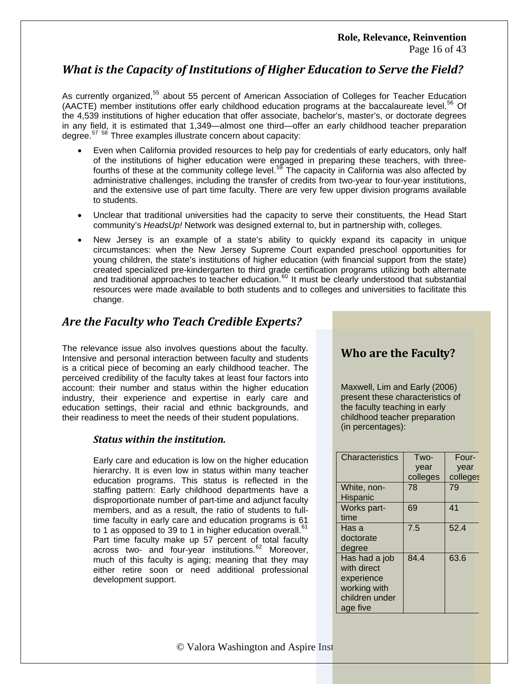# *What is the Capacity of Institutions of Higher Education to Serve the Field?*

As currently organized,<sup>[55](#page-42-1)</sup> about 55 percent of American Association of Colleges for Teacher Education (AACTE) member institutions offer early childhood education programs at the baccalaureate level.<sup>[56](#page-42-1)</sup> Of the 4,539 institutions of higher education that offer associate, bachelor's, master's, or doctorate degrees in any field, it is estimated that 1,349—almost one third—offer an early childhood teacher preparation degree.<sup>[57](#page-42-1)</sup> <sup>[58](#page-42-1)</sup> Three examples illustrate concern about capacity:

- Even when California provided resources to help pay for credentials of early educators, only half of the institutions of higher education were engaged in preparing these teachers, with threefourths of these at the community college level.[59](#page-42-1) The capacity in California was also affected by administrative challenges, including the transfer of credits from two-year to four-year institutions, and the extensive use of part time faculty. There are very few upper division programs available to students.
- Unclear that traditional universities had the capacity to serve their constituents, the Head Start community's *HeadsUp!* Network was designed external to, but in partnership with, colleges.
- New Jersey is an example of a state's ability to quickly expand its capacity in unique circumstances: when the New Jersey Supreme Court expanded preschool opportunities for young children, the state's institutions of higher education (with financial support from the state) created specialized pre-kindergarten to third grade certification programs utilizing both alternate and traditional approaches to teacher education.<sup>[60](#page-42-1)</sup> It must be clearly understood that substantial resources were made available to both students and to colleges and universities to facilitate this change.

# *Are the Faculty who Teach Credible Experts?*

The relevance issue also involves questions about the faculty. Intensive and personal interaction between faculty and students is a critical piece of becoming an early childhood teacher. The perceived credibility of the faculty takes at least four factors into account: their number and status within the higher education industry, their experience and expertise in early care and education settings, their racial and ethnic backgrounds, and their readiness to meet the needs of their student populations.

### *Status within the institution.*

Early care and education is low on the higher education hierarchy. It is even low in status within many teacher education programs. This status is reflected in the staffing pattern: Early childhood departments have a disproportionate number of part-time and adjunct faculty members, and as a result, the ratio of students to fulltime faculty in early care and education programs is 61 to 1 as opposed to 39 to 1 in higher education overall. $<sup>6</sup>$ </sup> Part time faculty make up 57 percent of total faculty across two- and four-year institutions.<sup>[62](#page-42-1)</sup> Moreover, much of this faculty is aging; meaning that they may either retire soon or need additional professional development support.

# **Who are the Faculty?**

Maxwell, Lim and Early (2006) present these characteristics of the faculty teaching in early childhood teacher preparation (in percentages):

| <b>Characteristics</b> | Two-     | Four-    |
|------------------------|----------|----------|
|                        | year     | year     |
|                        | colleges | colleges |
| White, non-            | 78       | 79       |
| Hispanic               |          |          |
| Works part-            | 69       | 41       |
| time                   |          |          |
| Has a                  | 7.5      | 52.4     |
| doctorate              |          |          |
| degree                 |          |          |
| Has had a job          | 84.4     | 63.6     |
| with direct            |          |          |
| experience             |          |          |
| working with           |          |          |
| children under         |          |          |
| age five               |          |          |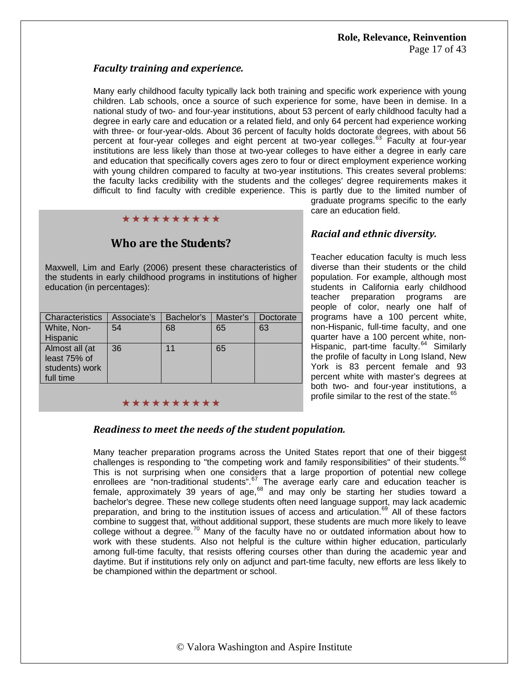### *Faculty training and experience.*

Many early childhood faculty typically lack both training and specific work experience with young children. Lab schools, once a source of such experience for some, have been in demise. In a national study of two- and four-year institutions, about 53 percent of early childhood faculty had a degree in early care and education or a related field, and only 64 percent had experience working with three- or four-year-olds. About 36 percent of faculty holds doctorate degrees, with about 56 percent at four-year colleges and eight percent at two-year colleges.<sup>[63](#page-42-1)</sup> Faculty at four-year institutions are less likely than those at two-year colleges to have either a degree in early care and education that specifically covers ages zero to four or direct employment experience working with young children compared to faculty at two-year institutions. This creates several problems: the faculty lacks credibility with the students and the colleges' degree requirements makes it difficult to find faculty with credible experience. This is partly due to the limited number of

### \*\*\*\*\*\*\*\*\*\*

## **Who are the Students?**

Maxwell, Lim and Early (2006) present these characteristics of the students in early childhood programs in institutions of higher education (in percentages):

| Associate's | Bachelor's | Master's | Doctorate |
|-------------|------------|----------|-----------|
| 54          | 68         | 65       | 63        |
|             |            |          |           |
| 36          | 11         | 65       |           |
|             |            |          |           |
|             |            |          |           |
|             |            |          |           |
|             |            |          |           |

graduate programs specific to the early care an education field.

### *Racial and ethnic diversity.*

Teacher education faculty is much less diverse than their students or the child population. For example, although most students in California early childhood teacher preparation programs are people of color, nearly one half of programs have a 100 percent white, non-Hispanic, full-time faculty, and one quarter have a 100 percent white, non-Hispanic, part-time faculty.<sup>[64](#page-42-1)</sup> Similarly the profile of faculty in Long Island, New York is 83 percent female and 93 percent white with master's degrees at both two- and four-year institutions, a profile similar to the rest of the state.<sup>[65](#page-42-1)</sup>

# \*\*\*\*\*\*\*\*\*\*

### *Readiness to meet the needs of the student population.*

Many teacher preparation programs across the United States report that one of their biggest challenges is responding to "the competing work and family responsibilities" of their students. $66$ This is not surprising when one considers that a large proportion of potential new college enrollees are "non-traditional students".<sup>[67](#page-42-1)</sup> The average early care and education teacher is female, approximately 39 years of age, $^{68}$  $^{68}$  $^{68}$  and may only be starting her studies toward a bachelor's degree. These new college students often need language support, may lack academic preparation, and bring to the institution issues of access and articulation.<sup>[69](#page-42-1)</sup> All of these factors combine to suggest that, without additional support, these students are much more likely to leave college without a degree.<sup>[70](#page-42-1)</sup> Many of the faculty have no or outdated information about how to work with these students. Also not helpful is the culture within higher education, particularly among full-time faculty, that resists offering courses other than during the academic year and daytime. But if institutions rely only on adjunct and part-time faculty, new efforts are less likely to be championed within the department or school.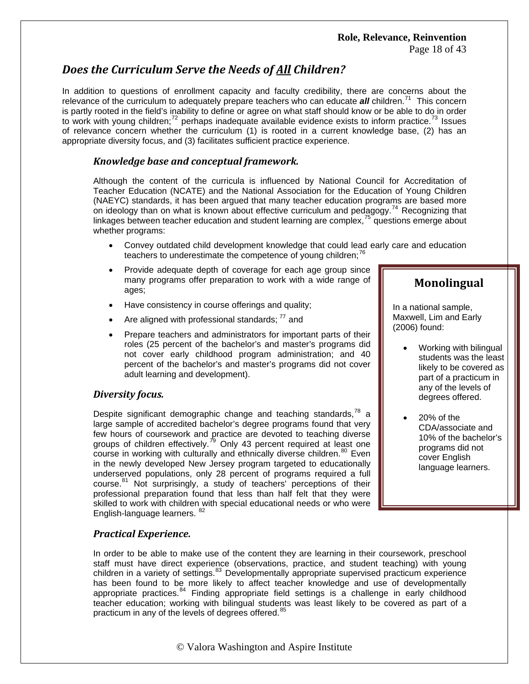Page 18 of 43

# *Does the Curriculum Serve the Needs of All Children?*

In addition to questions of enrollment capacity and faculty credibility, there are concerns about the relevance of the curriculum to adequately prepare teachers who can educate *all* children.<sup>[71](#page-42-1)</sup> This concern is partly rooted in the field's inability to define or agree on what staff should know or be able to do in order to work with young children; $^{72}$  $^{72}$  $^{72}$  perhaps inadequate available evidence exists to inform practice. $^{73}$  $^{73}$  $^{73}$  Issues of relevance concern whether the curriculum (1) is rooted in a current knowledge base, (2) has an appropriate diversity focus, and (3) facilitates sufficient practice experience.

### *Knowledge base and conceptual framework.*

Although the content of the curricula is influenced by National Council for Accreditation of Teacher Education (NCATE) and the National Association for the Education of Young Children (NAEYC) standards, it has been argued that many teacher education programs are based more on ideology than on what is known about effective curriculum and pedagogy.<sup>[74](#page-42-1)</sup> Recognizing that linkages between teacher education and student learning are complex, $^{75}$  $^{75}$  $^{75}$  questions emerge about whether programs:

- Convey outdated child development knowledge that could lead early care and education teachers to underestimate the competence of young children;<sup>[76](#page-42-1)</sup>
- Provide adequate depth of coverage for each age group since many programs offer preparation to work with a wide range of ages;
- Have consistency in course offerings and quality;
- Are aligned with professional standards;  $^{77}$  $^{77}$  $^{77}$  and
- Prepare teachers and administrators for important parts of their roles (25 percent of the bachelor's and master's programs did not cover early childhood program administration; and 40 percent of the bachelor's and master's programs did not cover adult learning and development).

### *Diversity focus.*

Despite significant demographic change and teaching standards, $^{78}$  $^{78}$  $^{78}$  a large sample of accredited bachelor's degree programs found that very few hours of coursework and practice are devoted to teaching diverse groups of children effectively.<sup>[79](#page-42-1)</sup> Only 43 percent required at least one course in working with culturally and ethnically diverse children.<sup>[80](#page-42-1)</sup> Even in the newly developed New Jersey program targeted to educationally underserved populations, only 28 percent of programs required a full course.<sup>[81](#page-42-1)</sup> Not surprisingly, a study of teachers' perceptions of their professional preparation found that less than half felt that they were skilled to work with children with special educational needs or who were English-language learners. <sup>[82](#page-42-1)</sup>

### *Practical Experience.*

In order to be able to make use of the content they are learning in their coursework, preschool staff must have direct experience (observations, practice, and student teaching) with young children in a variety of settings.<sup>[83](#page-42-1)</sup> Developmentally appropriate supervised practicum experience has been found to be more likely to affect teacher knowledge and use of developmentally appropriate practices. $84$  Finding appropriate field settings is a challenge in early childhood teacher education; working with bilingual students was least likely to be covered as part of a practicum in any of the levels of degrees offered.<sup>85</sup>

### **Monolingual**

In a national sample, Maxwell, Lim and Early (2006) found:

- Working with bilingual students was the least likely to be covered as part of a practicum in any of the levels of degrees offered.
- 20% of the CDA/associate and 10% of the bachelor's programs did not cover English language learners.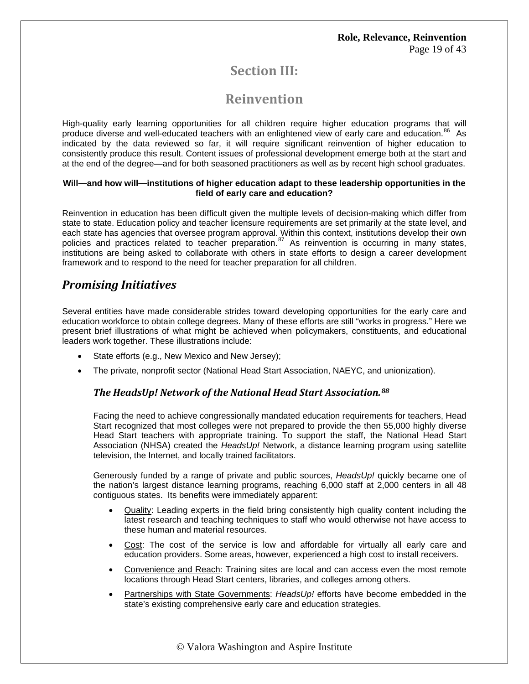# **Section III:**

# **Reinvention**

High-quality early learning opportunities for all children require higher education programs that will produce diverse and well-educated teachers with an enlightened view of early care and education.<sup>[86](#page-42-1)</sup> As indicated by the data reviewed so far, it will require significant reinvention of higher education to consistently produce this result. Content issues of professional development emerge both at the start and at the end of the degree—and for both seasoned practitioners as well as by recent high school graduates.

### **Will—and how will—institutions of higher education adapt to these leadership opportunities in the field of early care and education?**

Reinvention in education has been difficult given the multiple levels of decision-making which differ from state to state. Education policy and teacher licensure requirements are set primarily at the state level, and each state has agencies that oversee program approval. Within this context, institutions develop their own policies and practices related to teacher preparation.<sup>[87](#page-42-1)</sup> As reinvention is occurring in many states, institutions are being asked to collaborate with others in state efforts to design a career development framework and to respond to the need for teacher preparation for all children.

# *Promising Initiatives*

Several entities have made considerable strides toward developing opportunities for the early care and education workforce to obtain college degrees. Many of these efforts are still "works in progress." Here we present brief illustrations of what might be achieved when policymakers, constituents, and educational leaders work together. These illustrations include:

- State efforts (e.g., New Mexico and New Jersey);
- The private, nonprofit sector (National Head Start Association, NAEYC, and unionization).

### *The HeadsUp! Network of the National Head Start Association.[88](#page-42-1)*

Facing the need to achieve congressionally mandated education requirements for teachers, Head Start recognized that most colleges were not prepared to provide the then 55,000 highly diverse Head Start teachers with appropriate training. To support the staff, the National Head Start Association (NHSA) created the *HeadsUp!* Network, a distance learning program using satellite television, the Internet, and locally trained facilitators.

Generously funded by a range of private and public sources, *HeadsUp!* quickly became one of the nation's largest distance learning programs, reaching 6,000 staff at 2,000 centers in all 48 contiguous states. Its benefits were immediately apparent:

- Quality: Leading experts in the field bring consistently high quality content including the latest research and teaching techniques to staff who would otherwise not have access to these human and material resources.
- Cost: The cost of the service is low and affordable for virtually all early care and education providers. Some areas, however, experienced a high cost to install receivers.
- Convenience and Reach: Training sites are local and can access even the most remote locations through Head Start centers, libraries, and colleges among others.
- Partnerships with State Governments: *HeadsUp!* efforts have become embedded in the state's existing comprehensive early care and education strategies.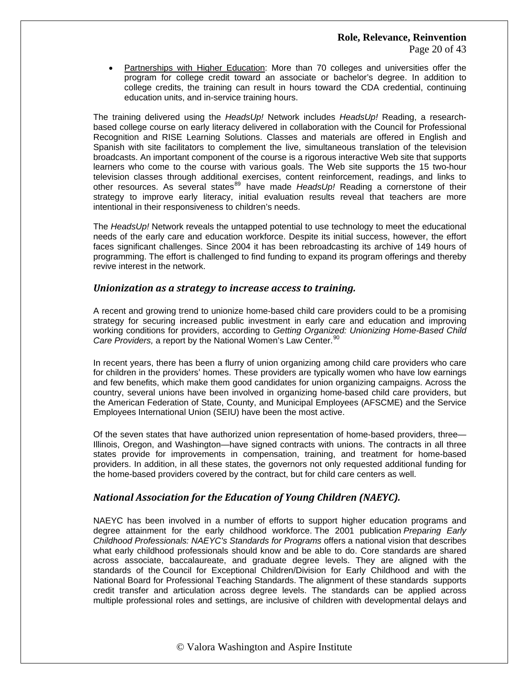• Partnerships with Higher Education: More than 70 colleges and universities offer the program for college credit toward an associate or bachelor's degree. In addition to college credits, the training can result in hours toward the CDA credential, continuing education units, and in-service training hours.

The training delivered using the *HeadsUp!* Network includes *HeadsUp!* Reading, a researchbased college course on early literacy delivered in collaboration with the Council for Professional Recognition and RISE Learning Solutions. Classes and materials are offered in English and Spanish with site facilitators to complement the live, simultaneous translation of the television broadcasts. An important component of the course is a rigorous interactive Web site that supports learners who come to the course with various goals. The Web site supports the 15 two-hour television classes through additional exercises, content reinforcement, readings, and links to other resources. As several states<sup>[89](#page-42-1)</sup> have made *HeadsUp!* Reading a cornerstone of their strategy to improve early literacy, initial evaluation results reveal that teachers are more intentional in their responsiveness to children's needs.

The *HeadsUp!* Network reveals the untapped potential to use technology to meet the educational needs of the early care and education workforce. Despite its initial success, however, the effort faces significant challenges. Since 2004 it has been rebroadcasting its archive of 149 hours of programming. The effort is challenged to find funding to expand its program offerings and thereby revive interest in the network.

### *Unionization as a strategy to increase access to training.*

A recent and growing trend to unionize home-based child care providers could to be a promising strategy for securing increased public investment in early care and education and improving working conditions for providers, according to *Getting Organized: Unionizing Home-Based Child Care Providers, a report by the National Women's Law Center.*<sup>[90](#page-42-1)</sup>

In recent years, there has been a flurry of union organizing among child care providers who care for children in the providers' homes. These providers are typically women who have low earnings and few benefits, which make them good candidates for union organizing campaigns. Across the country, several unions have been involved in organizing home-based child care providers, but the American Federation of State, County, and Municipal Employees (AFSCME) and the Service Employees International Union (SEIU) have been the most active.

Of the seven states that have authorized union representation of home-based providers, three— Illinois, Oregon, and Washington—have signed contracts with unions. The contracts in all three states provide for improvements in compensation, training, and treatment for home-based providers. In addition, in all these states, the governors not only requested additional funding for the home-based providers covered by the contract, but for child care centers as well.

### *National Association for the Education of Young Children (NAEYC).*

NAEYC has been involved in a number of efforts to support higher education programs and degree attainment for the early childhood workforce. The 2001 publication *Preparing Early Childhood Professionals: NAEYC's Standards for Programs* offers a national vision that describes what early childhood professionals should know and be able to do. Core standards are shared across associate, baccalaureate, and graduate degree levels. They are aligned with the standards of the Council for Exceptional Children/Division for Early Childhood and with the National Board for Professional Teaching Standards. The alignment of these standards supports credit transfer and articulation across degree levels. The standards can be applied across multiple professional roles and settings, are inclusive of children with developmental delays and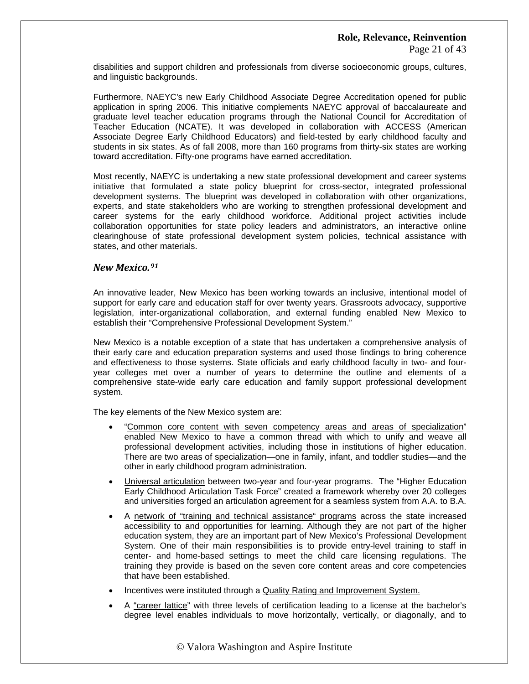Page 21 of 43

disabilities and support children and professionals from diverse socioeconomic groups, cultures, and linguistic backgrounds.

Furthermore, NAEYC's new Early Childhood Associate Degree Accreditation opened for public application in spring 2006. This initiative complements NAEYC approval of baccalaureate and graduate level teacher education programs through the National Council for Accreditation of Teacher Education (NCATE). It was developed in collaboration with ACCESS (American Associate Degree Early Childhood Educators) and field-tested by early childhood faculty and students in six states. As of fall 2008, more than 160 programs from thirty-six states are working toward accreditation. Fifty-one programs have earned accreditation.

Most recently, NAEYC is undertaking a new state professional development and career systems initiative that formulated a state policy blueprint for cross-sector, integrated professional development systems. The blueprint was developed in collaboration with other organizations, experts, and state stakeholders who are working to strengthen professional development and career systems for the early childhood workforce. Additional project activities include collaboration opportunities for state policy leaders and administrators, an interactive online clearinghouse of state professional development system policies, technical assistance with states, and other materials.

### *New Mexico.[91](#page-42-1)*

An innovative leader, New Mexico has been working towards an inclusive, intentional model of support for early care and education staff for over twenty years. Grassroots advocacy, supportive legislation, inter-organizational collaboration, and external funding enabled New Mexico to establish their "Comprehensive Professional Development System."

New Mexico is a notable exception of a state that has undertaken a comprehensive analysis of their early care and education preparation systems and used those findings to bring coherence and effectiveness to those systems. State officials and early childhood faculty in two- and fouryear colleges met over a number of years to determine the outline and elements of a comprehensive state-wide early care education and family support professional development system.

The key elements of the New Mexico system are:

- "Common core content with seven competency areas and areas of specialization" enabled New Mexico to have a common thread with which to unify and weave all professional development activities, including those in institutions of higher education. There are two areas of specialization—one in family, infant, and toddler studies—and the other in early childhood program administration.
- Universal articulation between two-year and four-year programs. The "Higher Education Early Childhood Articulation Task Force" created a framework whereby over 20 colleges and universities forged an articulation agreement for a seamless system from A.A. to B.A.
- A network of "training and technical assistance" programs across the state increased accessibility to and opportunities for learning. Although they are not part of the higher education system, they are an important part of New Mexico's Professional Development System. One of their main responsibilities is to provide entry-level training to staff in center- and home-based settings to meet the child care licensing regulations. The training they provide is based on the seven core content areas and core competencies that have been established.
- Incentives were instituted through a Quality Rating and Improvement System.
- A "career lattice" with three levels of certification leading to a license at the bachelor's degree level enables individuals to move horizontally, vertically, or diagonally, and to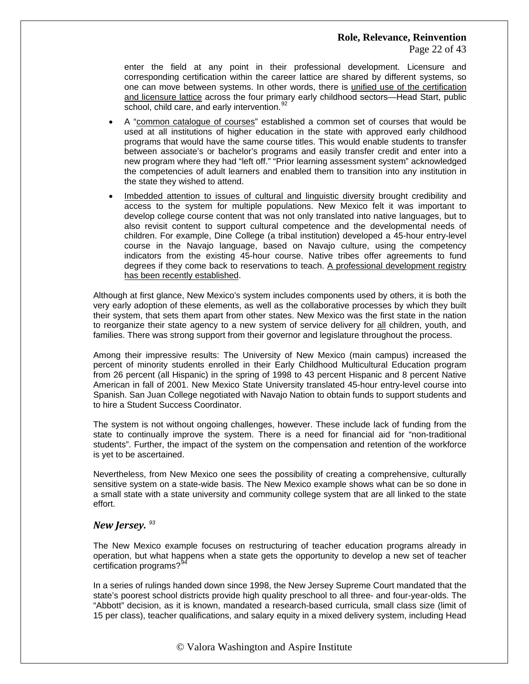Page 22 of 43

enter the field at any point in their professional development. Licensure and corresponding certification within the career lattice are shared by different systems, so one can move between systems. In other words, there is unified use of the certification and licensure lattice across the four primary early childhood sectors—Head Start, public school, child care, and early intervention.<sup>92</sup>

- A "common catalogue of courses" established a common set of courses that would be used at all institutions of higher education in the state with approved early childhood programs that would have the same course titles. This would enable students to transfer between associate's or bachelor's programs and easily transfer credit and enter into a new program where they had "left off." "Prior learning assessment system" acknowledged the competencies of adult learners and enabled them to transition into any institution in the state they wished to attend.
- Imbedded attention to issues of cultural and linguistic diversity brought credibility and access to the system for multiple populations. New Mexico felt it was important to develop college course content that was not only translated into native languages, but to also revisit content to support cultural competence and the developmental needs of children. For example, Dine College (a tribal institution) developed a 45-hour entry-level course in the Navajo language, based on Navajo culture, using the competency indicators from the existing 45-hour course. Native tribes offer agreements to fund degrees if they come back to reservations to teach. A professional development registry has been recently established.

Although at first glance, New Mexico's system includes components used by others, it is both the very early adoption of these elements, as well as the collaborative processes by which they built their system, that sets them apart from other states. New Mexico was the first state in the nation to reorganize their state agency to a new system of service delivery for all children, youth, and families. There was strong support from their governor and legislature throughout the process.

Among their impressive results: The University of New Mexico (main campus) increased the percent of minority students enrolled in their Early Childhood Multicultural Education program from 26 percent (all Hispanic) in the spring of 1998 to 43 percent Hispanic and 8 percent Native American in fall of 2001. New Mexico State University translated 45-hour entry-level course into Spanish. San Juan College negotiated with Navajo Nation to obtain funds to support students and to hire a Student Success Coordinator.

The system is not without ongoing challenges, however. These include lack of funding from the state to continually improve the system. There is a need for financial aid for "non-traditional students". Further, the impact of the system on the compensation and retention of the workforce is yet to be ascertained.

Nevertheless, from New Mexico one sees the possibility of creating a comprehensive, culturally sensitive system on a state-wide basis. The New Mexico example shows what can be so done in a small state with a state university and community college system that are all linked to the state effort.

### *New Jersey. [93](#page-42-1)*

The New Mexico example focuses on restructuring of teacher education programs already in operation, but what happens when a state gets the opportunity to develop a new set of teacher certification programs?<sup>9</sup>

In a series of rulings handed down since 1998, the New Jersey Supreme Court mandated that the state's poorest school districts provide high quality preschool to all three- and four-year-olds. The "Abbott" decision, as it is known, mandated a research-based curricula, small class size (limit of 15 per class), teacher qualifications, and salary equity in a mixed delivery system, including Head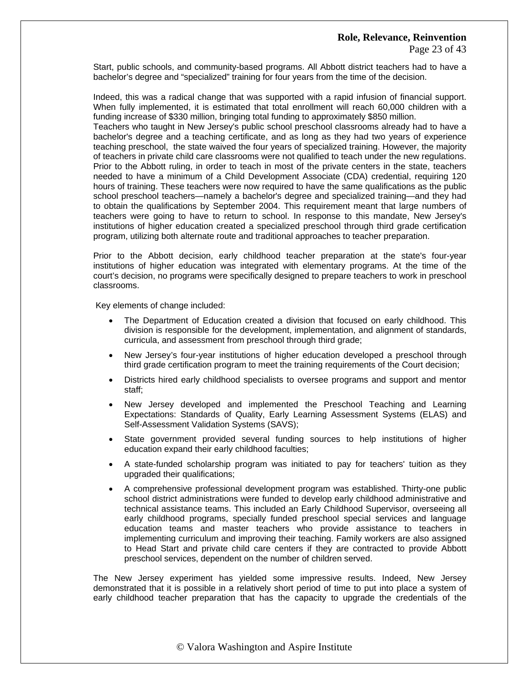Start, public schools, and community-based programs. All Abbott district teachers had to have a bachelor's degree and "specialized" training for four years from the time of the decision.

Indeed, this was a radical change that was supported with a rapid infusion of financial support. When fully implemented, it is estimated that total enrollment will reach 60,000 children with a funding increase of \$330 million, bringing total funding to approximately \$850 million.

Teachers who taught in New Jersey's public school preschool classrooms already had to have a bachelor's degree and a teaching certificate, and as long as they had two years of experience teaching preschool, the state waived the four years of specialized training. However, the majority of teachers in private child care classrooms were not qualified to teach under the new regulations. Prior to the Abbott ruling, in order to teach in most of the private centers in the state, teachers needed to have a minimum of a Child Development Associate (CDA) credential, requiring 120 hours of training. These teachers were now required to have the same qualifications as the public school preschool teachers—namely a bachelor's degree and specialized training—and they had to obtain the qualifications by September 2004. This requirement meant that large numbers of teachers were going to have to return to school. In response to this mandate, New Jersey's institutions of higher education created a specialized preschool through third grade certification program, utilizing both alternate route and traditional approaches to teacher preparation.

Prior to the Abbott decision, early childhood teacher preparation at the state's four-year institutions of higher education was integrated with elementary programs. At the time of the court's decision, no programs were specifically designed to prepare teachers to work in preschool classrooms.

Key elements of change included:

- The Department of Education created a division that focused on early childhood. This division is responsible for the development, implementation, and alignment of standards, curricula, and assessment from preschool through third grade;
- New Jersey's four-year institutions of higher education developed a preschool through third grade certification program to meet the training requirements of the Court decision;
- Districts hired early childhood specialists to oversee programs and support and mentor staff;
- New Jersey developed and implemented the Preschool Teaching and Learning Expectations: Standards of Quality, Early Learning Assessment Systems (ELAS) and Self-Assessment Validation Systems (SAVS);
- State government provided several funding sources to help institutions of higher education expand their early childhood faculties;
- A state-funded scholarship program was initiated to pay for teachers' tuition as they upgraded their qualifications;
- A comprehensive professional development program was established. Thirty-one public school district administrations were funded to develop early childhood administrative and technical assistance teams. This included an Early Childhood Supervisor, overseeing all early childhood programs, specially funded preschool special services and language education teams and master teachers who provide assistance to teachers in implementing curriculum and improving their teaching. Family workers are also assigned to Head Start and private child care centers if they are contracted to provide Abbott preschool services, dependent on the number of children served.

The New Jersey experiment has yielded some impressive results. Indeed, New Jersey demonstrated that it is possible in a relatively short period of time to put into place a system of early childhood teacher preparation that has the capacity to upgrade the credentials of the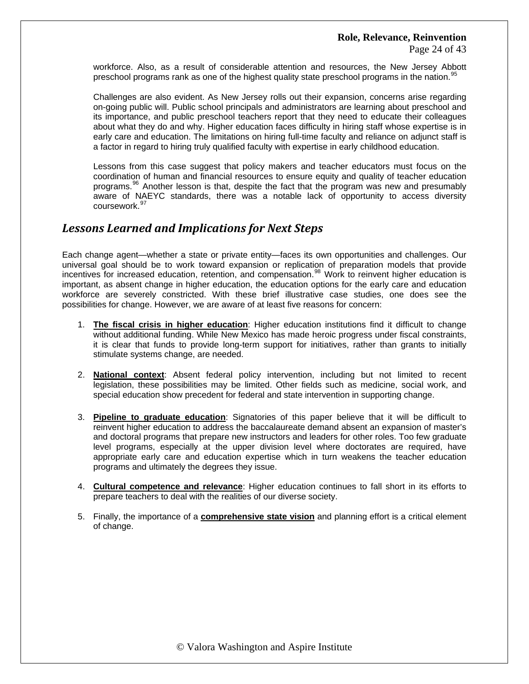workforce. Also, as a result of considerable attention and resources, the New Jersey Abbott preschool programs rank as one of the highest quality state preschool programs in the nation.<sup>[95](#page-42-1)</sup>

Challenges are also evident. As New Jersey rolls out their expansion, concerns arise regarding on-going public will. Public school principals and administrators are learning about preschool and its importance, and public preschool teachers report that they need to educate their colleagues about what they do and why. Higher education faces difficulty in hiring staff whose expertise is in early care and education. The limitations on hiring full-time faculty and reliance on adjunct staff is a factor in regard to hiring truly qualified faculty with expertise in early childhood education.

Lessons from this case suggest that policy makers and teacher educators must focus on the coordination of human and financial resources to ensure equity and quality of teacher education programs.<sup>[96](#page-42-1)</sup> Another lesson is that, despite the fact that the program was new and presumably aware of NAEYC standards, there was a notable lack of opportunity to access diversity coursework.<sup>9</sup>

## *Lessons Learned and Implications for Next Steps*

Each change agent—whether a state or private entity—faces its own opportunities and challenges. Our universal goal should be to work toward expansion or replication of preparation models that provide incentives for increased education, retention, and compensation.<sup>[98](#page-42-1)</sup> Work to reinvent higher education is important, as absent change in higher education, the education options for the early care and education workforce are severely constricted. With these brief illustrative case studies, one does see the possibilities for change. However, we are aware of at least five reasons for concern:

- 1. **The fiscal crisis in higher education**: Higher education institutions find it difficult to change without additional funding. While New Mexico has made heroic progress under fiscal constraints, it is clear that funds to provide long-term support for initiatives, rather than grants to initially stimulate systems change, are needed.
- 2. **National context**: Absent federal policy intervention, including but not limited to recent legislation, these possibilities may be limited. Other fields such as medicine, social work, and special education show precedent for federal and state intervention in supporting change.
- 3. **Pipeline to graduate education**: Signatories of this paper believe that it will be difficult to reinvent higher education to address the baccalaureate demand absent an expansion of master's and doctoral programs that prepare new instructors and leaders for other roles. Too few graduate level programs, especially at the upper division level where doctorates are required, have appropriate early care and education expertise which in turn weakens the teacher education programs and ultimately the degrees they issue.
- 4. **Cultural competence and relevance**: Higher education continues to fall short in its efforts to prepare teachers to deal with the realities of our diverse society.
- 5. Finally, the importance of a **comprehensive state vision** and planning effort is a critical element of change.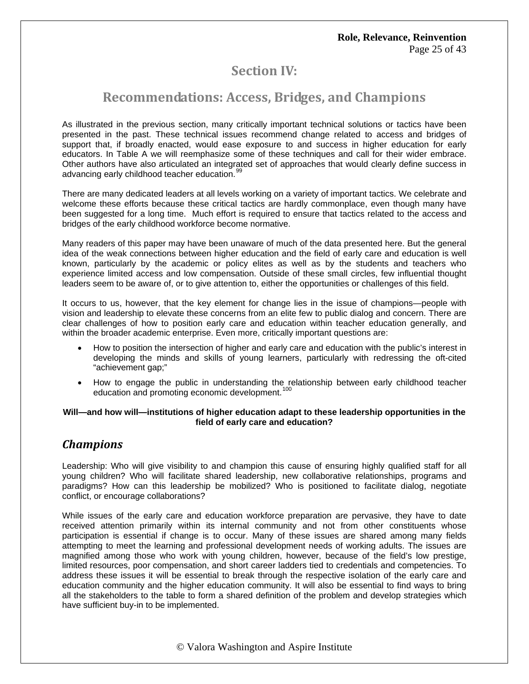# **Section IV:**

# **Recommendations: Access, Bridges, and Champions**

As illustrated in the previous section, many critically important technical solutions or tactics have been presented in the past. These technical issues recommend change related to access and bridges of support that, if broadly enacted, would ease exposure to and success in higher education for early educators. In Table A we will reemphasize some of these techniques and call for their wider embrace. Other authors have also articulated an integrated set of approaches that would clearly define success in advancing early childhood teacher education.<sup>[99](#page-42-1)</sup>

There are many dedicated leaders at all levels working on a variety of important tactics. We celebrate and welcome these efforts because these critical tactics are hardly commonplace, even though many have been suggested for a long time. Much effort is required to ensure that tactics related to the access and bridges of the early childhood workforce become normative.

Many readers of this paper may have been unaware of much of the data presented here. But the general idea of the weak connections between higher education and the field of early care and education is well known, particularly by the academic or policy elites as well as by the students and teachers who experience limited access and low compensation. Outside of these small circles, few influential thought leaders seem to be aware of, or to give attention to, either the opportunities or challenges of this field.

It occurs to us, however, that the key element for change lies in the issue of champions—people with vision and leadership to elevate these concerns from an elite few to public dialog and concern. There are clear challenges of how to position early care and education within teacher education generally, and within the broader academic enterprise. Even more, critically important questions are:

- How to position the intersection of higher and early care and education with the public's interest in developing the minds and skills of young learners, particularly with redressing the oft-cited "achievement gap;"
- How to engage the public in understanding the relationship between early childhood teacher education and promoting economic development.<sup>[100](#page-42-1)</sup>

### **Will—and how will—institutions of higher education adapt to these leadership opportunities in the field of early care and education?**

# *Champions*

Leadership: Who will give visibility to and champion this cause of ensuring highly qualified staff for all young children? Who will facilitate shared leadership, new collaborative relationships, programs and paradigms? How can this leadership be mobilized? Who is positioned to facilitate dialog, negotiate conflict, or encourage collaborations?

While issues of the early care and education workforce preparation are pervasive, they have to date received attention primarily within its internal community and not from other constituents whose participation is essential if change is to occur. Many of these issues are shared among many fields attempting to meet the learning and professional development needs of working adults. The issues are magnified among those who work with young children, however, because of the field's low prestige, limited resources, poor compensation, and short career ladders tied to credentials and competencies. To address these issues it will be essential to break through the respective isolation of the early care and education community and the higher education community. It will also be essential to find ways to bring all the stakeholders to the table to form a shared definition of the problem and develop strategies which have sufficient buy-in to be implemented.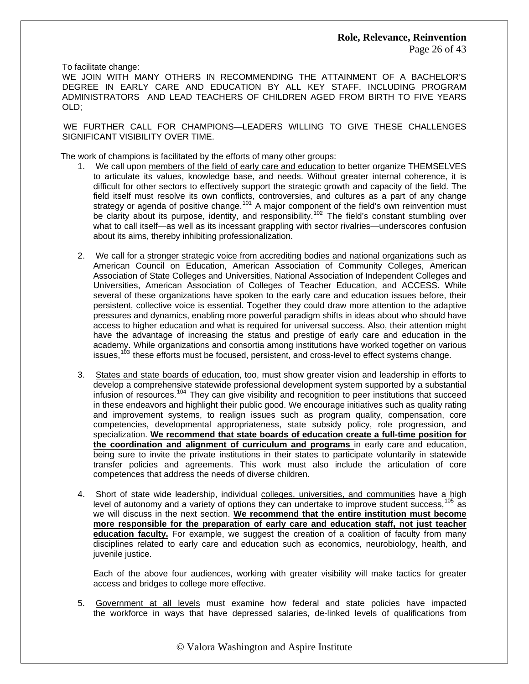To facilitate change:

WE JOIN WITH MANY OTHERS IN RECOMMENDING THE ATTAINMENT OF A BACHELOR'S DEGREE IN EARLY CARE AND EDUCATION BY ALL KEY STAFF, INCLUDING PROGRAM ADMINISTRATORS AND LEAD TEACHERS OF CHILDREN AGED FROM BIRTH TO FIVE YEARS OLD;

WE FURTHER CALL FOR CHAMPIONS—LEADERS WILLING TO GIVE THESE CHALLENGES SIGNIFICANT VISIBILITY OVER TIME.

The work of champions is facilitated by the efforts of many other groups:

- 1. We call upon members of the field of early care and education to better organize THEMSELVES to articulate its values, knowledge base, and needs. Without greater internal coherence, it is difficult for other sectors to effectively support the strategic growth and capacity of the field. The field itself must resolve its own conflicts, controversies, and cultures as a part of any change strategy or agenda of positive change.<sup>[101](#page-42-1)</sup> A major component of the field's own reinvention must be clarity about its purpose, identity, and responsibility.<sup>[102](#page-42-1)</sup> The field's constant stumbling over what to call itself—as well as its incessant grappling with sector rivalries—underscores confusion about its aims, thereby inhibiting professionalization.
- 2. We call for a stronger strategic voice from accrediting bodies and national organizations such as American Council on Education, American Association of Community Colleges, American Association of State Colleges and Universities, National Association of Independent Colleges and Universities, American Association of Colleges of Teacher Education, and ACCESS. While several of these organizations have spoken to the early care and education issues before, their persistent, collective voice is essential. Together they could draw more attention to the adaptive pressures and dynamics, enabling more powerful paradigm shifts in ideas about who should have access to higher education and what is required for universal success. Also, their attention might have the advantage of increasing the status and prestige of early care and education in the academy. While organizations and consortia among institutions have worked together on various issues,  $103$  these efforts must be focused, persistent, and cross-level to effect systems change.
- 3. States and state boards of education, too, must show greater vision and leadership in efforts to develop a comprehensive statewide professional development system supported by a substantial infusion of resources.<sup>[104](#page-42-1)</sup> They can give visibility and recognition to peer institutions that succeed in these endeavors and highlight their public good. We encourage initiatives such as quality rating and improvement systems, to realign issues such as program quality, compensation, core competencies, developmental appropriateness, state subsidy policy, role progression, and specialization. **We recommend that state boards of education create a full-time position for the coordination and alignment of curriculum and programs** in early care and education, being sure to invite the private institutions in their states to participate voluntarily in statewide transfer policies and agreements. This work must also include the articulation of core competences that address the needs of diverse children.
- 4. Short of state wide leadership, individual colleges, universities, and communities have a high level of autonomy and a variety of options they can undertake to improve student success,  $105$  as we will discuss in the next section. **We recommend that the entire institution must become more responsible for the preparation of early care and education staff, not just teacher education faculty.** For example, we suggest the creation of a coalition of faculty from many disciplines related to early care and education such as economics, neurobiology, health, and juvenile justice.

Each of the above four audiences, working with greater visibility will make tactics for greater access and bridges to college more effective.

5. Government at all levels must examine how federal and state policies have impacted the workforce in ways that have depressed salaries, de-linked levels of qualifications from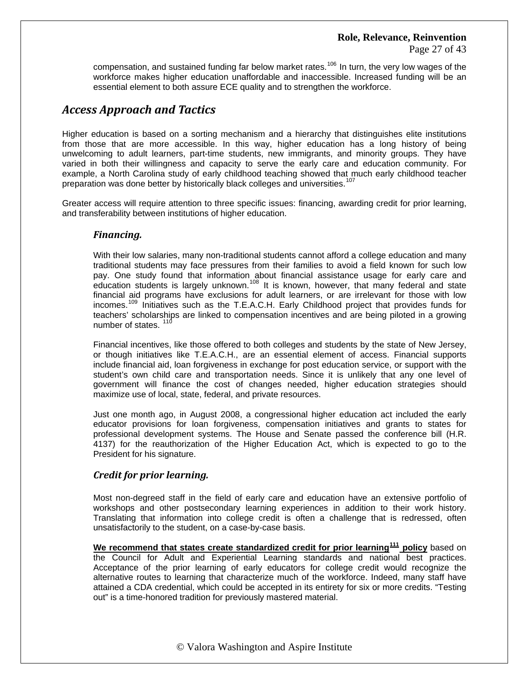compensation, and sustained funding far below market rates.<sup>106</sup> In turn, the very low wages of the workforce makes higher education unaffordable and inaccessible. Increased funding will be an essential element to both assure ECE quality and to strengthen the workforce.

# *Access Approach and Tactics*

Higher education is based on a sorting mechanism and a hierarchy that distinguishes elite institutions from those that are more accessible. In this way, higher education has a long history of being unwelcoming to adult learners, part-time students, new immigrants, and minority groups. They have varied in both their willingness and capacity to serve the early care and education community. For example, a North Carolina study of early childhood teaching showed that much early childhood teacher preparation was done better by historically black colleges and universities.<sup>[107](#page-42-1)</sup>

Greater access will require attention to three specific issues: financing, awarding credit for prior learning, and transferability between institutions of higher education.

### *Financing.*

With their low salaries, many non-traditional students cannot afford a college education and many traditional students may face pressures from their families to avoid a field known for such low pay. One study found that information about financial assistance usage for early care and education students is largely unknown.<sup>[108](#page-42-1)</sup> It is known, however, that many federal and state financial aid programs have exclusions for adult learners, or are irrelevant for those with low incomes.[109](#page-42-1) Initiatives such as the T.E.A.C.H. Early Childhood project that provides funds for teachers' scholarships are linked to compensation incentives and are being piloted in a growing number of states.<sup>[110](#page-42-1)</sup>

Financial incentives, like those offered to both colleges and students by the state of New Jersey, or though initiatives like T.E.A.C.H., are an essential element of access. Financial supports include financial aid, loan forgiveness in exchange for post education service, or support with the student's own child care and transportation needs. Since it is unlikely that any one level of government will finance the cost of changes needed, higher education strategies should maximize use of local, state, federal, and private resources.

Just one month ago, in August 2008, a congressional higher education act included the early educator provisions for loan forgiveness, compensation initiatives and grants to states for professional development systems. The House and Senate passed the conference bill (H.R. 4137) for the reauthorization of the Higher Education Act, which is expected to go to the President for his signature.

### *Credit for prior learning.*

Most non-degreed staff in the field of early care and education have an extensive portfolio of workshops and other postsecondary learning experiences in addition to their work history. Translating that information into college credit is often a challenge that is redressed, often unsatisfactorily to the student, on a case-by-case basis.

**We recommend that states create standardized credit for prior learning[111](#page-42-1) policy** based on the Council for Adult and Experiential Learning standards and national best practices. Acceptance of the prior learning of early educators for college credit would recognize the alternative routes to learning that characterize much of the workforce. Indeed, many staff have attained a CDA credential, which could be accepted in its entirety for six or more credits. "Testing out" is a time-honored tradition for previously mastered material.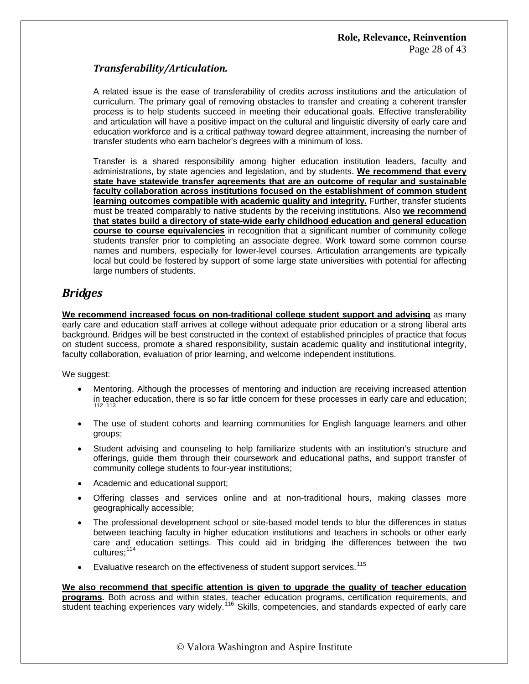### $Transferability/Articulation.$

A related issue is the ease of transferability of credits across institutions and the articulation of curriculum. The primary goal of removing obstacles to transfer and creating a coherent transfer process is to help students succeed in meeting their educational goals. Effective transferability and articulation will have a positive impact on the cultural and linguistic diversity of early care and education workforce and is a critical pathway toward degree attainment, increasing the number of transfer students who earn bachelor's degrees with a minimum of loss.

Transfer is a shared responsibility among higher education institution leaders, faculty and administrations, by state agencies and legislation, and by students. **We recommend that every state have statewide transfer agreements that are an outcome of regular and sustainable faculty collaboration across institutions focused on the establishment of common student learning outcomes compatible with academic quality and integrity.** Further, transfer students must be treated comparably to native students by the receiving institutions. Also **we recommend that states build a directory of state-wide early childhood education and general education course to course equivalencies** in recognition that a significant number of community college students transfer prior to completing an associate degree. Work toward some common course names and numbers, especially for lower-level courses. Articulation arrangements are typically local but could be fostered by support of some large state universities with potential for affecting large numbers of students.

## *Bridges*

**We recommend increased focus on non-traditional college student support and advising** as many early care and education staff arrives at college without adequate prior education or a strong liberal arts background. Bridges will be best constructed in the context of established principles of practice that focus on student success, promote a shared responsibility, sustain academic quality and institutional integrity, faculty collaboration, evaluation of prior learning, and welcome independent institutions.

We suggest:

- Mentoring. Although the processes of mentoring and induction are receiving increased attention [in teac](#page-42-1)her education, there is so far little concern for these processes in early care and education; [112](#page-42-1) <sup>113</sup>
- The use of student cohorts and learning communities for English language learners and other groups;
- Student advising and counseling to help familiarize students with an institution's structure and offerings, guide them through their coursework and educational paths, and support transfer of community college students to four-year institutions;
- Academic and educational support;
- Offering classes and services online and at non-traditional hours, making classes more geographically accessible;
- The professional development school or site-based model tends to blur the differences in status between teaching faculty in higher education institutions and teachers in schools or other early care and education settings. This could aid in bridging the differences between the two cultures;<sup>[114](#page-42-1)</sup>
- Evaluative research on the effectiveness of student support services.<sup>[115](#page-42-1)</sup>

**We also recommend that specific attention is given to upgrade the quality of teacher education programs.** Both across and within states, teacher education programs, certification requirements, and student teaching experiences vary widely.<sup>[116](#page-42-1)</sup> Skills, competencies, and standards expected of early care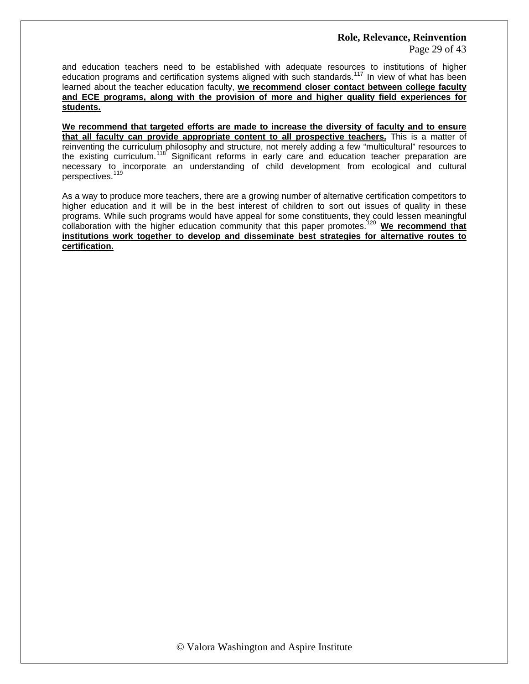Page 29 of 43

and education teachers need to be established with adequate resources to institutions of higher education programs and certification systems aligned with such standards.<sup>[117](#page-42-1)</sup> In view of what has been learned about the teacher education faculty, **we recommend closer contact between college faculty and ECE programs, along with the provision of more and higher quality field experiences for students.**

**We recommend that targeted efforts are made to increase the diversity of faculty and to ensure that all faculty can provide appropriate content to all prospective teachers.** This is a matter of reinventing the curriculum philosophy and structure, not merely adding a few "multicultural" resources to the existing curriculum.<sup>[118](#page-42-1)</sup> Significant reforms in early care and education teacher preparation are necessary to incorporate an understanding of child development from ecological and cultural perspectives.<sup>[119](#page-42-1)</sup>

As a way to produce more teachers, there are a growing number of alternative certification competitors to higher education and it will be in the best interest of children to sort out issues of quality in these programs. While such programs would have appeal for some constituents, they could lessen meaningful collaboration with the higher education community that this paper promotes.[120](#page-42-1) **We recommend that institutions work together to develop and disseminate best strategies for alternative routes to certification.**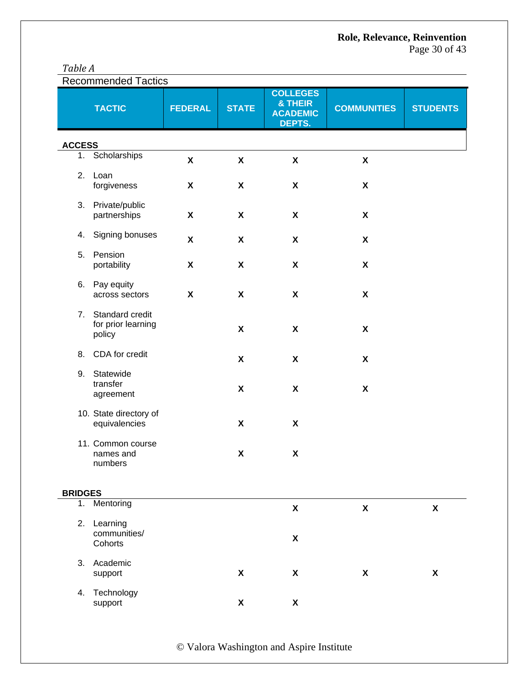|--|

| <b>Recommended Tactics</b> |                                                 |                           |                           |                                                         |                           |                    |
|----------------------------|-------------------------------------------------|---------------------------|---------------------------|---------------------------------------------------------|---------------------------|--------------------|
|                            | <b>TACTIC</b>                                   | <b>FEDERAL</b>            | <b>STATE</b>              | <b>COLLEGES</b><br>& THEIR<br><b>ACADEMIC</b><br>DEPTS. | <b>COMMUNITIES</b>        | <b>STUDENTS</b>    |
| <b>ACCESS</b>              |                                                 |                           |                           |                                                         |                           |                    |
| 1.                         | Scholarships                                    | $\pmb{\mathsf{X}}$        | X                         | $\pmb{\mathsf{X}}$                                      | $\boldsymbol{\mathsf{X}}$ |                    |
| 2.                         | Loan<br>forgiveness                             | $\boldsymbol{\mathsf{X}}$ | X                         | X                                                       | $\boldsymbol{\mathsf{X}}$ |                    |
| 3.                         | Private/public<br>partnerships                  | $\boldsymbol{\mathsf{X}}$ | $\boldsymbol{\mathsf{X}}$ | X                                                       | $\boldsymbol{\mathsf{X}}$ |                    |
| 4.                         | Signing bonuses                                 | $\pmb{\mathsf{X}}$        | X                         | $\boldsymbol{\mathsf{X}}$                               | $\boldsymbol{\mathsf{X}}$ |                    |
| 5.                         | Pension<br>portability                          | $\boldsymbol{\mathsf{X}}$ | $\boldsymbol{\mathsf{X}}$ | $\pmb{\mathsf{X}}$                                      | $\boldsymbol{\mathsf{X}}$ |                    |
| 6.                         | Pay equity<br>across sectors                    | $\boldsymbol{\mathsf{X}}$ | X                         | $\boldsymbol{\mathsf{X}}$                               | $\boldsymbol{\mathsf{X}}$ |                    |
| 7.                         | Standard credit<br>for prior learning<br>policy |                           | X                         | X                                                       | $\boldsymbol{\mathsf{X}}$ |                    |
| 8.                         | CDA for credit                                  |                           | X                         | X                                                       | $\boldsymbol{\mathsf{X}}$ |                    |
| 9.                         | Statewide<br>transfer<br>agreement              |                           | $\boldsymbol{\mathsf{X}}$ | $\boldsymbol{\mathsf{X}}$                               | $\boldsymbol{\mathsf{X}}$ |                    |
|                            | 10. State directory of<br>equivalencies         |                           | X                         | X                                                       |                           |                    |
|                            | 11. Common course<br>names and<br>numbers       |                           | $\pmb{\mathsf{X}}$        | X                                                       |                           |                    |
| <b>BRIDGES</b>             |                                                 |                           |                           |                                                         |                           |                    |
| 1.                         | Mentoring                                       |                           |                           | $\pmb{\mathsf{X}}$                                      | $\boldsymbol{\mathsf{X}}$ | $\pmb{\mathsf{X}}$ |
| 2.                         | Learning<br>communities/<br>Cohorts             |                           |                           | $\pmb{\mathsf{X}}$                                      |                           |                    |
| 3.                         | Academic<br>support                             |                           | X                         | X                                                       | X                         | $\pmb{\chi}$       |
| 4.                         | Technology<br>support                           |                           | X                         | X                                                       |                           |                    |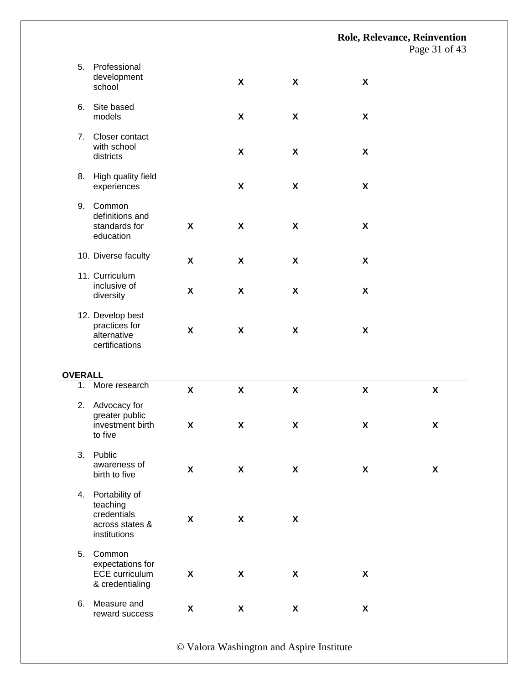Page 31 of 43

| 5.                   | Professional<br>development<br>school                                        |                                          | X                                                      | $\pmb{\mathsf{X}}$                       | $\boldsymbol{\mathsf{X}}$                       |                                          |
|----------------------|------------------------------------------------------------------------------|------------------------------------------|--------------------------------------------------------|------------------------------------------|-------------------------------------------------|------------------------------------------|
| 6.                   | Site based<br>models                                                         |                                          | X                                                      | $\pmb{\mathsf{X}}$                       | $\pmb{\mathsf{X}}$                              |                                          |
| 7.                   | Closer contact<br>with school<br>districts                                   |                                          | X                                                      | X                                        | X                                               |                                          |
| 8.                   | High quality field<br>experiences                                            |                                          | X                                                      | $\pmb{\mathsf{X}}$                       | $\pmb{\mathsf{X}}$                              |                                          |
| 9.                   | Common<br>definitions and<br>standards for<br>education                      | X                                        | $\pmb{\mathsf{X}}$                                     | $\boldsymbol{\mathsf{X}}$                | $\boldsymbol{\mathsf{X}}$                       |                                          |
|                      | 10. Diverse faculty                                                          | $\pmb{\mathsf{X}}$                       | X                                                      | $\boldsymbol{\mathsf{X}}$                | X                                               |                                          |
|                      | 11. Curriculum<br>inclusive of<br>diversity                                  | X                                        | $\boldsymbol{\mathsf{X}}$                              | X                                        | X                                               |                                          |
|                      | 12. Develop best<br>practices for<br>alternative                             | $\pmb{\mathsf{X}}$                       | $\pmb{\mathsf{X}}$                                     | $\pmb{\mathsf{X}}$                       | $\pmb{\mathsf{X}}$                              |                                          |
|                      | certifications                                                               |                                          |                                                        |                                          |                                                 |                                          |
|                      |                                                                              |                                          |                                                        |                                          |                                                 |                                          |
| <b>OVERALL</b><br>1. | More research                                                                |                                          |                                                        |                                          |                                                 |                                          |
| 2.                   | Advocacy for<br>greater public<br>investment birth<br>to five                | $\pmb{\mathsf{X}}$<br>$\pmb{\mathsf{X}}$ | $\boldsymbol{\mathsf{X}}$<br>$\boldsymbol{\mathsf{X}}$ | $\pmb{\mathsf{X}}$<br>$\pmb{\mathsf{X}}$ | $\boldsymbol{\mathsf{X}}$<br>$\pmb{\mathsf{X}}$ | $\pmb{\mathsf{X}}$<br>$\pmb{\mathsf{X}}$ |
| 3.                   | Public<br>awareness of<br>birth to five                                      | X                                        | X                                                      | X                                        | X                                               | $\boldsymbol{\mathsf{X}}$                |
| 4.                   | Portability of<br>teaching<br>credentials<br>across states &<br>institutions | $\pmb{\mathsf{X}}$                       | $\boldsymbol{\mathsf{X}}$                              | X                                        |                                                 |                                          |
| 5.                   | Common<br>expectations for<br><b>ECE</b> curriculum<br>& credentialing       | $\pmb{\mathsf{X}}$                       | X                                                      | $\pmb{\mathsf{X}}$                       | $\boldsymbol{\mathsf{X}}$                       |                                          |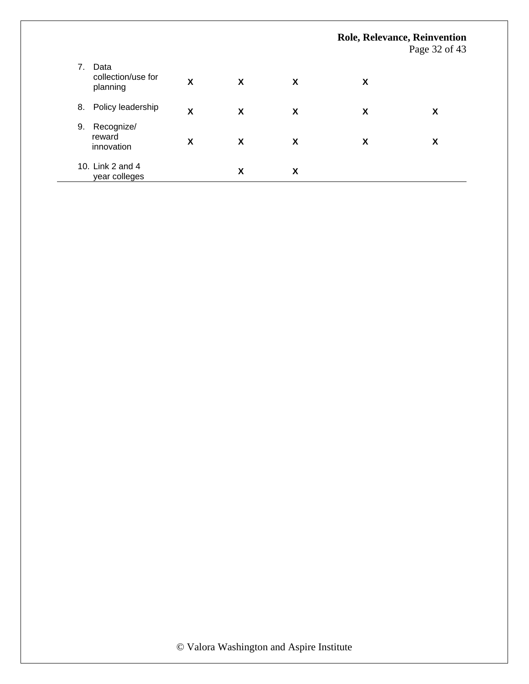|    |                                        |   |   |   |   | <b>Role, Relevance, Reinvention</b><br>Page 32 of 43 |
|----|----------------------------------------|---|---|---|---|------------------------------------------------------|
| 7. | Data<br>collection/use for<br>planning | X | X | X | X |                                                      |
| 8. | Policy leadership                      | X | X | X | X | X                                                    |
| 9. | Recognize/<br>reward<br>innovation     | X | X | X | χ | X                                                    |
|    | 10. Link 2 and 4<br>year colleges      |   | X | X |   |                                                      |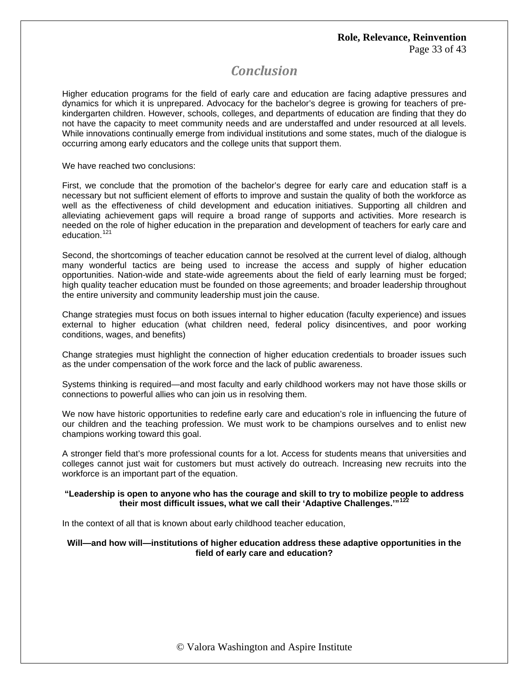# *Conclusion*

Higher education programs for the field of early care and education are facing adaptive pressures and dynamics for which it is unprepared. Advocacy for the bachelor's degree is growing for teachers of prekindergarten children. However, schools, colleges, and departments of education are finding that they do not have the capacity to meet community needs and are understaffed and under resourced at all levels. While innovations continually emerge from individual institutions and some states, much of the dialogue is occurring among early educators and the college units that support them.

We have reached two conclusions:

First, we conclude that the promotion of the bachelor's degree for early care and education staff is a necessary but not sufficient element of efforts to improve and sustain the quality of both the workforce as well as the effectiveness of child development and education initiatives. Supporting all children and alleviating achievement gaps will require a broad range of supports and activities. More research is needed on the role of higher education in the preparation and development of teachers for early care and education.<sup>1</sup>

Second, the shortcomings of teacher education cannot be resolved at the current level of dialog, although many wonderful tactics are being used to increase the access and supply of higher education opportunities. Nation-wide and state-wide agreements about the field of early learning must be forged; high quality teacher education must be founded on those agreements; and broader leadership throughout the entire university and community leadership must join the cause.

Change strategies must focus on both issues internal to higher education (faculty experience) and issues external to higher education (what children need, federal policy disincentives, and poor working conditions, wages, and benefits)

Change strategies must highlight the connection of higher education credentials to broader issues such as the under compensation of the work force and the lack of public awareness.

Systems thinking is required—and most faculty and early childhood workers may not have those skills or connections to powerful allies who can join us in resolving them.

We now have historic opportunities to redefine early care and education's role in influencing the future of our children and the teaching profession. We must work to be champions ourselves and to enlist new champions working toward this goal.

A stronger field that's more professional counts for a lot. Access for students means that universities and colleges cannot just wait for customers but must actively do outreach. Increasing new recruits into the workforce is an important part of the equation.

### **"Leadership is open to anyone who has the courage and skill to try to mobilize people to address their most difficult issues, what we call their 'Adaptive Challenges.'"[122](#page-42-1)**

In the context of all that is known about early childhood teacher education,

### **Will—and how will—institutions of higher education address these adaptive opportunities in the field of early care and education?**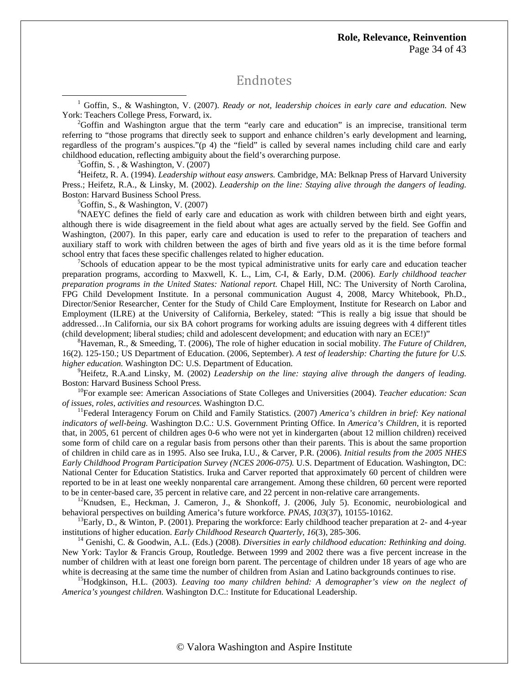## Endnotes

<sup>1</sup> Goffin, S., & Washington, V. (2007). *Ready or not, leadership choices in early care and education*. New York: Teachers College Press, Forward, ix.

 $^{2}$ Goffin and Washington argue that the term "early care and education" is an imprecise, transitional term referring to "those programs that directly seek to support and enhance children's early development and learning, regardless of the program's auspices."(p 4) the "field" is called by several names including child care and early childhood education, reflecting ambiguity about the field's overarching purpose. 3

 ${}^{3}$ Goffin, S., & Washington, V. (2007)

 $\overline{a}$ 

4 Heifetz, R. A. (1994). *Leadership without easy answers.* Cambridge, MA: Belknap Press of Harvard University Press.; Heifetz, R.A., & Linsky, M. (2002). *Leadership on the line: Staying alive through the dangers of leading.* Boston: Harvard Business School Press.

 ${}^5$ Goffin, S., & Washington, V. (2007)

<sup>6</sup>NAEYC defines the field of early care and education as work with children between birth and eight years, although there is wide disagreement in the field about what ages are actually served by the field. See Goffin and Washington, (2007). In this paper, early care and education is used to refer to the preparation of teachers and auxiliary staff to work with children between the ages of birth and five years old as it is the time before formal school entry that faces these specific challenges related to higher education.

<sup>7</sup>Schools of education appear to be the most typical administrative units for early care and education teacher preparation programs, according to Maxwell, K. L., Lim, C-I, & Early, D.M. (2006). *Early childhood teacher preparation programs in the United States: National report.* Chapel Hill, NC: The University of North Carolina, FPG Child Development Institute. In a personal communication August 4, 2008, Marcy Whitebook, Ph.D., Director/Senior Researcher, Center for the Study of Child Care Employment, Institute for Research on Labor and Employment (ILRE) at the University of California, Berkeley, stated: "This is really a big issue that should be addressed…In California, our six BA cohort programs for working adults are issuing degrees with 4 different titles (child development; liberal studies; child and adolescent development; and education with nary an ECE!)" 8

Haveman, R., & Smeeding, T. (2006), The role of higher education in social mobility. *The Future of Children,* 16(2). 125-150.; US Department of Education. (2006, September). *A test of leadership: Charting the future for U.S. higher education.* Washington DC: U.S. Department of Education.

<sup>9</sup>Heifetz, R.A.and Linsky, M. (2002) *Leadership on the line: staying alive through the dangers of leading.* Boston: Harvard Business School Press.<br><sup>10</sup>For example see: American Associations of State Colleges and Universities (2004). *Teacher education: Scan* 

*of issues, roles, activities and resources.* Washington D.C. 11Federal Interagency Forum on Child and Family Statistics. (2007) *America's children in brief: Key national* 

*indicators of well-being.* Washington D.C.: U.S. Government Printing Office. In *America's Children*, it is reported that, in 2005, 61 percent of children ages 0-6 who were not yet in kindergarten (about 12 million children) received some form of child care on a regular basis from persons other than their parents. This is about the same proportion of children in child care as in 1995. Also see Iruka, I.U., & Carver, P.R. (2006). *Initial results from the 2005 NHES Early Childhood Program Participation Survey (NCES 2006-075).* U.S. Department of Education*.* Washington, DC: National Center for Education Statistics. Iruka and Carver reported that approximately 60 percent of children were reported to be in at least one weekly nonparental care arrangement. Among these children, 60 percent were reported to be in center-based care, 35 percent in relative care, and 22 percent in non-relative care arrangements.<br><sup>12</sup>Knudsen, E., Heckman, J. Cameron, J., & Shonkoff, J. (2006, July 5). Economic, neurobiological and

behavioral perspectives on building America's future workforce. *PNAS, 103*(37), 10155-10162.<br><sup>13</sup>Early, D., & Winton, P. (2001). Preparing the workforce: Early childhood teacher preparation at 2- and 4-year<br>institutions o

<sup>14</sup> Genishi, C. & Goodwin, A.L. (Eds.) (2008). *Diversities in early childhood education: Rethinking and doing.* New York: Taylor & Francis Group, Routledge. Between 1999 and 2002 there was a five percent increase in the number of children with at least one foreign born parent. The percentage of children under 18 years of age who are

white is decreasing at the same time the number of children from Asian and Latino backgrounds continues to rise.<br><sup>15</sup>Hodgkinson, H.L. (2003). *Leaving too many children behind: A demographer's view on the neglect of America's youngest children.* Washington D.C.: Institute for Educational Leadership.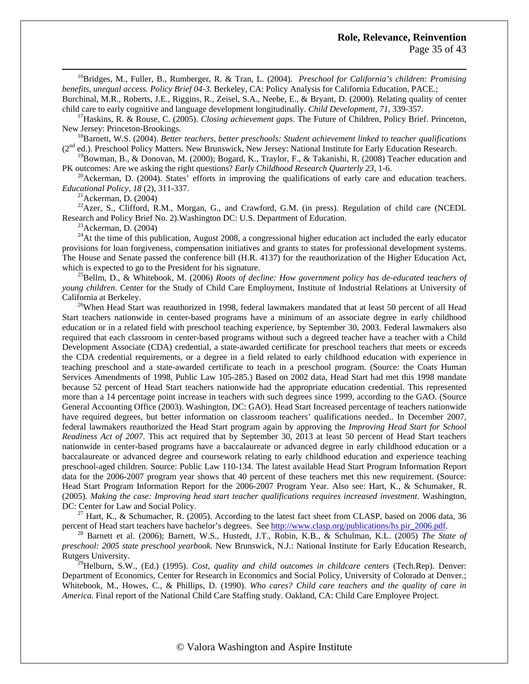16Bridges, M., Fuller, B., Rumberger, R. & Tran, L. (2004). *Preschool for California's children: Promising benefits, unequal access. Policy Brief 04-3.* Berkeley, CA: Policy Analysis for California Education, PACE.;

Burchinal, M.R., Roberts, J.E., Riggins, R., Zeisel, S.A., Neebe, E., & Bryant, D. (2000). Relating quality of center child care to early cognitive and language development longitudinally. Child Development, 71, 339-357.<br><sup>17</sup>Haskins, R. & Rouse, C. (2005). Closing achievement gaps. The Future of Children, Policy Brief. Princeton,

New Jersey: Princeton-Brookings.<br><sup>18</sup>Barnett, W.S. (2004). *Better teachers, better preschools: Student achievement linked to teacher qualifications* 

(2nd ed.). Preschool Policy Matters*.* New Brunswick, New Jersey: National Institute for Early Education Research.

<sup>19</sup>Bowman, B., & Donovan, M. (2000); Bogard, K., Traylor, F., & Takanishi, R. (2008) Teacher education and PK outcomes: Are we asking the right questions? *Early Childhood Research Quarterly* 23, 1-6.

<sup>20</sup>Ackerman, D. (2004). States' efforts in improving the qualifications of early care and education teachers. *Educational Policy, 18* (2), 311-337.<br><sup>21</sup>Ackerman, D. (2004)

<sup>22</sup>Azer, S., Clifford, R.M., Morgan, G., and Crawford, G.M. (in press). Regulation of child care (NCEDL Research and Policy Brief No. 2). Washington DC: U.S. Department of Education. <sup>23</sup>Ackerman, D. (2004)

 $^{24}$ At the time of this publication, August 2008, a congressional higher education act included the early educator provisions for loan forgiveness, compensation initiatives and grants to states for professional development systems. The House and Senate passed the conference bill (H.R. 4137) for the reauthorization of the Higher Education Act, which is expected to go to the President for his signature.<br><sup>25</sup>Bellm, D., & Whitebook, M. (2006) *Roots of decline: How government policy has de-educated teachers of* 

*young children*. Center for the Study of Child Care Employment, Institute of Industrial Relations at University of California at Berkeley.<br><sup>26</sup>When Head Start was reauthorized in 1998, federal lawmakers mandated that at least 50 percent of all Head

Start teachers nationwide in center-based programs have a minimum of an associate degree in early childhood education or in a related field with preschool teaching experience, by September 30, 2003. Federal lawmakers also required that each classroom in center-based programs without such a degreed teacher have a teacher with a Child Development Associate (CDA) credential, a state-awarded certificate for preschool teachers that meets or exceeds the CDA credential requirements, or a degree in a field related to early childhood education with experience in teaching preschool and a state-awarded certificate to teach in a preschool program. (Source: the Coats Human Services Amendments of 1998, Public Law 105-285.) Based on 2002 data, Head Start had met this 1998 mandate because 52 percent of Head Start teachers nationwide had the appropriate education credential. This represented more than a 14 percentage point increase in teachers with such degrees since 1999, according to the GAO. (Source General Accounting Office (2003). Washington, DC: GAO). Head Start Increased percentage of teachers nationwide have required degrees, but better information on classroom teachers' qualifications needed.. In December 2007, federal lawmakers reauthorized the Head Start program again by approving the *Improving Head Start for School Readiness Act of 2007*. This act required that by September 30, 2013 at least 50 percent of Head Start teachers nationwide in center-based programs have a baccalaureate or advanced degree in early childhood education or a baccalaureate or advanced degree and coursework relating to early childhood education and experience teaching preschool-aged children. Source: Public Law 110-134. The latest available Head Start Program Information Report data for the 2006-2007 program year shows that 40 percent of these teachers met this new requirement. (Source: Head Start Program Information Report for the 2006-2007 Program Year. Also see: Hart, K., & Schumaker, R. (2005)*. Making the case: Improving head start teacher qualifications requires increased investment*. Washington, DC: Center for Law and Social Policy.<br><sup>27</sup> Hart, K., & Schumacher, R. (2005). According to the latest fact sheet from CLASP, based on 2006 data, 36

percent of Head start teachers have bachelor's degrees. See [http://www.clasp.org/publications/hs pir\\_2006.pdf](http://www.clasp.org/publications/hs%20pir_2006.pdf). 28 Barnett et al. (2006); Barnett, W.S., Hustedt, J.T., Robin, K.B., & Schulman, K.L. (2005) *The State of* 

*preschool: 2005 state preschool yearbook.* New Brunswick, N.J.: National Institute for Early Education Research, Rutgers University.

29Helburn, S.W., (Ed.) (1995). *Cost, quality and child outcomes in childcare centers* (Tech.Rep). Denver: Department of Economics, Center for Research in Economics and Social Policy, University of Colorado at Denver.; Whitebook, M., Howes, C., & Phillips, D. (1990). *Who cares? Child care teachers and the quality of care in America*. Final report of the National Child Care Staffing study. Oakland, CA: Child Care Employee Project.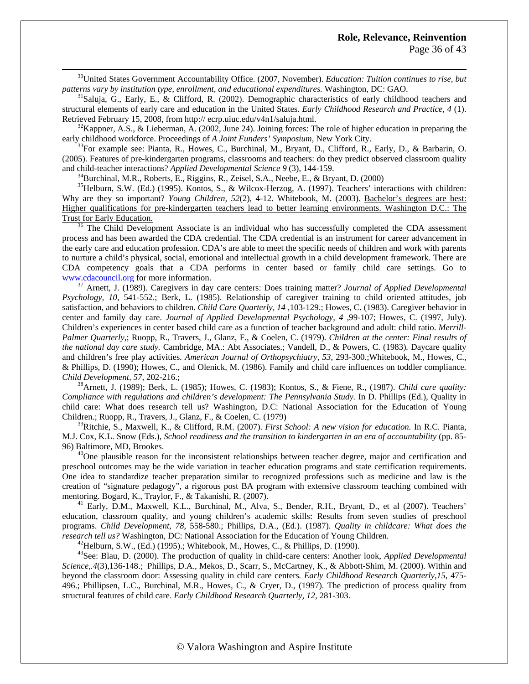30United States Government Accountability Office. (2007, November). *Education: Tuition continues to rise, but patterns vary by institution type, enrollment, and educational expenditures.* Washington, DC: GAO.<br><sup>31</sup>Saluja, G., Early, E., & Clifford, R. (2002). Demographic characteristics of early childhood teachers and

structural elements of early care and education in the United States. *Early Childhood Research and Practice, 4* (1). Retrieved February 15, 2008, from http:// ecrp.uiuc.edu/v4n1/saluja.html.<br><sup>32</sup>Kappner, A.S., & Lieberman, A. (2002, June 24). Joining forces: The role of higher education in preparing the

early childhood workforce. Proceedings of *A Joint Funders' Symposium*, New York City.<br><sup>33</sup>For example see: Pianta, R., Howes, C., Burchinal, M., Bryant, D., Clifford, R., Early, D., & Barbarin, O.

(2005). Features of pre-kindergarten programs, classrooms and teachers: do they predict observed classroom quality and child-teacher interactions? *Applied Developmental Science 9* (3), 144-159.<br><sup>34</sup>Burchinal, M.R., Roberts, E., Riggins, R., Zeisel, S.A., Neebe, E., & Bryant, D. (2000)

<sup>35</sup>Helburn, S.W. (Ed.) (1995). Kontos, S., & Wilcox-Herzog, A. (1997). Teachers' interactions with children: Why are they so important? *Young Children, 52(2)*, 4-12. Whitebook, M. (2003). Bachelor's degrees are best: Higher qualifications for pre-kindergarten teachers lead to better learning environments. Washington D.C.: The Trust for Early Education.<br><sup>36</sup> The Child Development Associate is an individual who has successfully completed the CDA assessment

process and has been awarded the CDA credential. The CDA credential is an instrument for career advancement in the early care and education profession. CDA's are able to meet the specific needs of children and work with parents to nurture a child's physical, social, emotional and intellectual growth in a child development framework. There are CDA competency goals that a CDA performs in center based or family child care settings. Go to [www.cdacouncil.org](http://www.cdacouncil.org/) for more information. [37](http://www.cdacouncil.org/) Arnett, J. (1989). Caregivers in day care centers: Does training matter? *Journal of Applied Developmental* 

*Psychology, 10*, 541-552.; Berk, L. (1985). Relationship of caregiver training to child oriented attitudes, job satisfaction, and behaviors to children. *Child Care Quarterly, 14* ,103-129.; Howes, C. (1983). Caregiver behavior in center and family day care. *Journal of Applied Developmental Psychology, 4* ,99-107; Howes, C. (1997, July). Children's experiences in center based child care as a function of teacher background and adult: child ratio. *Merrill-Palmer Quarterly*,; Ruopp, R., Travers, J., Glanz, F., & Coelen, C. (1979). *Children at the center: Final results of the national day care study.* Cambridge, MA.: Abt Associates.; Vandell, D., & Powers, C. (1983)*.* Daycare quality and children's free play activities*. American Journal of Orthopsychiatry, 53*, 293-300.;Whitebook, M., Howes, C., & Phillips, D. (1990); Howes, C., and Olenick, M. (1986). Family and child care influences on toddler compliance*. Child Development, 57*, 202-216.; 38Arnett, J. (1989); Berk, L. (1985); Howes, C. (1983); Kontos, S., & Fiene, R., (1987). *Child care quality:* 

*Compliance with regulations and children's development: The Pennsylvania Study.* In D. Phillips (Ed.), Quality in child care: What does research tell us? Washington, D.C: National Association for the Education of Young Children.; Ruopp, R., Travers, J., Glanz, F., & Coelen, C. (1979)

39Ritchie, S., Maxwell, K., & Clifford, R.M. (2007). *First School: A new vision for education.* In R.C. Pianta, M.J. Cox, K.L. Snow (Eds.), *School readiness and the transition to kindergarten in an era of accountability* (pp. 85- 96) Baltimore, MD, Brookes.<br><sup>40</sup>One plausible reason for the inconsistent relationships between teacher degree, major and certification and

preschool outcomes may be the wide variation in teacher education programs and state certification requirements. One idea to standardize teacher preparation similar to recognized professions such as medicine and law is the creation of "signature pedagogy", a rigorous post BA program with extensive classroom teaching combined with mentoring. Bogard, K., Traylor, F., & Takanishi, R. (2007).<br><sup>41</sup> Early, D.M., Maxwell, K.L., Burchinal, M., Alva, S., Bender, R.H., Bryant, D., et al (2007). Teachers'

education, classroom quality, and young children's academic skills: Results from seven studies of preschool programs. *Child Development, 78,* 558-580.; Phillips, D.A., (Ed.). (1987). *Quality in childcare: What does the*  research tell us? Washington, DC: National Association for the Education of Young Children.<br><sup>42</sup>Helburn, S.W., (Ed.) (1995).; Whitebook, M., Howes, C., & Phillips, D. (1990).<br><sup>43</sup>See: Blau, D. (2000). The production of qua

*Science,.4*(3),136-148.; Phillips, D.A., Mekos, D., Scarr, S., McCartney, K., & Abbott-Shim, M. (2000). Within and beyond the classroom door: Assessing quality in child care centers*. Early Childhood Research Quarterly,15*, 475- 496.; Phillipsen, L.C., Burchinal, M.R., Howes, C., & Cryer, D., (1997). The prediction of process quality from structural features of child care. *Early Childhood Research Quarterly, 12,* 281-303.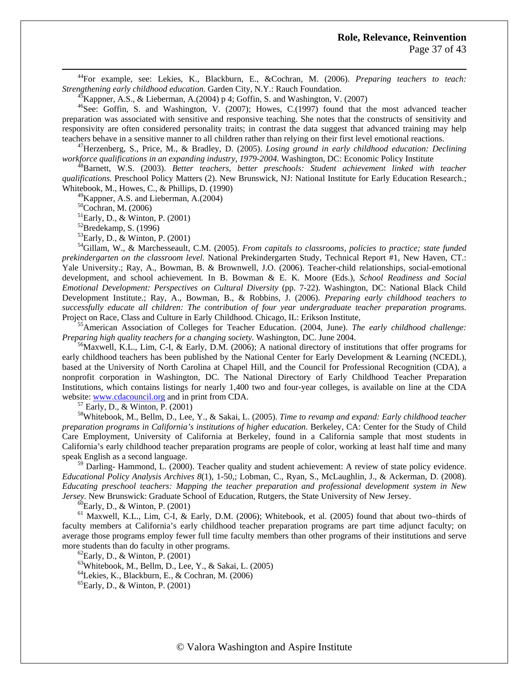Page 37 of 43

 44For example, see: Lekies, K., Blackburn, E., &Cochran, M. (2006). *Preparing teachers to teach: Strengthening early childhood education.* Garden City, N.Y.: Rauch Foundation. <sup>45</sup>Kappner, A.S., & Lieberman, A.(2004) p 4; Goffin, S. and Washington, V. (2007)

<sup>46</sup>See: Goffin, S. and Washington, V. (2007); Howes, C.(1997) found that the most advanced teacher preparation was associated with sensitive and responsive teaching. She notes that the constructs of sensitivity and responsivity are often considered personality traits; in contrast the data suggest that advanced training may help teachers behave in a sensitive manner to all children rather than relying on their first level emotional reactions.<br><sup>47</sup>Herzenberg, S., Price, M., & Bradley, D. (2005). *Losing ground in early childhood education: Declinin* 

*workforce qualifications in an expanding industry, 1979-2004.* Washington, DC: Economic Policy Institute 48Barnett, W.S. (2003). *Better teachers, better preschools: Student achievement linked with teacher* 

*qualifications.* Preschool Policy Matters (2). New Brunswick, NJ: National Institute for Early Education Research.; Whitebook, M., Howes, C., & Phillips, D. (1990)

 $^{49}$ Kappner, A.S. and Lieberman, A.(2004)

50Cochran, M. (2006)

 ${}^{51}$ Early, D., & Winton, P. (2001)

 $52$ Bredekamp, S. (1996)

53Early, D., & Winton, P. (2001)

54Gillam, W., & Marchesseault, C.M. (2005). *From capitals to classrooms, policies to practice; state funded prekindergarten on the classroom level.* National Prekindergarten Study, Technical Report #1, New Haven, CT.: Yale University.; Ray, A., Bowman, B. & Brownwell, J.O. (2006). Teacher-child relationships, social-emotional development, and school achievement*.* In B. Bowman & E. K. Moore (Eds.), *School Readiness and Social Emotional Development: Perspectives on Cultural Diversity* (pp. 7-22). Washington, DC: National Black Child Development Institute.; Ray, A., Bowman, B., & Robbins, J. (2006). *Preparing early childhood teachers to successfully educate all children: The contribution of four year undergraduate teacher preparation programs.* 

Project on Race, Class and Culture in Early Childhood. Chicago, IL: Erikson Institute,<br><sup>55</sup>American Association of Colleges for Teacher Education. (2004, June). *The early childhood challenge:*<br>*Preparing high quality teac* 

<sup>56</sup>Maxwell, K.L., Lim, C-I, & Early, D.M. (2006); A national directory of institutions that offer programs for early childhood teachers has been published by the National Center for Early Development & Learning (NCEDL), based at the University of North Carolina at Chapel Hill, and the Council for Professional Recognition (CDA), a nonprofit corporation in Washington, DC. The National Directory of Early Childhood Teacher Preparation Institutions, which contains listings for nearly 1,400 two and four-year colleges, is available on line at the CDA website: [www.cdacouncil.org](http://www.cdacouncil.org/) and in print from CDA.<br><sup>57</sup> Early, D., & Winton, P. (2001)

58Whitebook, M., Bellm, D., Lee, Y., & Sakai, L. (2005). *Time to revamp and expand: Early childhood teacher preparation programs in California's institutions of higher education.* Berkeley, CA: Center for the Study of Child Care Employment, University of California at Berkeley, found in a California sample that most students in California's early childhood teacher preparation programs are people of color, working at least half time and many speak English as a second language.

 $59$  Darling- Hammond, L. (2000). Teacher quality and student achievement: A review of state policy evidence. *Educational Policy Analysis Archives 8*(1), 1-50,; Lobman, C., Ryan, S., McLaughlin, J., & Ackerman, D. (2008). *Educating preschool teachers: Mapping the teacher preparation and professional development system in New Jersey.* New Brunswick: Graduate School of Education, Rutgers, the State University of New Jersey. <sup>60</sup>Early, D., & Winton, P. (2001)

<sup>61</sup> Maxwell, K.L., Lim, C-I, & Early, D.M. (2006); Whitebook, et al. (2005) found that about two–thirds of faculty members at California's early childhood teacher preparation programs are part time adjunct faculty; on average those programs employ fewer full time faculty members than other programs of their institutions and serve more students than do faculty in other programs.<br><sup>62</sup>Early, D., & Winton, P. (2001)

 $63$ Whitebook, M., Bellm, D., Lee, Y., & Sakai, L. (2005)

64Lekies, K., Blackburn, E., & Cochran, M. (2006)

 $^{65}$ Early, D., & Winton, P. (2001)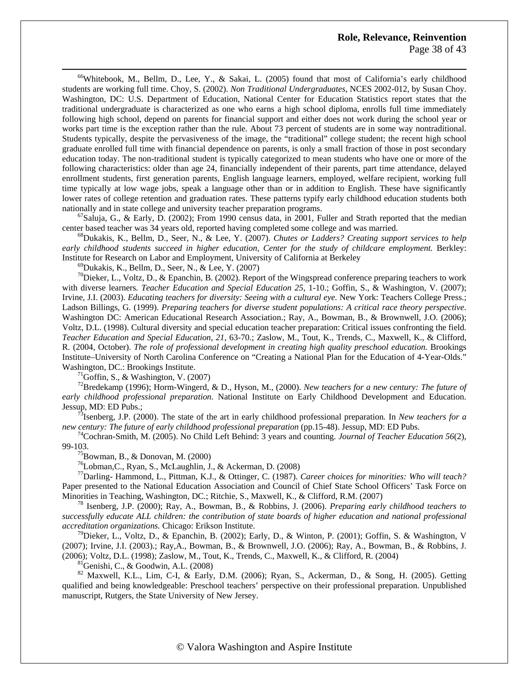<sup>66</sup>Whitebook, M., Bellm, D., Lee, Y., & Sakai, L. (2005) found that most of California's early childhood students are working full time. Choy, S. (2002). *Non Traditional Undergraduates*, NCES 2002-012, by Susan Choy. Washington, DC: U.S. Department of Education, National Center for Education Statistics report states that the traditional undergraduate is characterized as one who earns a high school diploma, enrolls full time immediately following high school, depend on parents for financial support and either does not work during the school year or works part time is the exception rather than the rule. About 73 percent of students are in some way nontraditional. Students typically, despite the pervasiveness of the image, the "traditional" college student; the recent high school graduate enrolled full time with financial dependence on parents, is only a small fraction of those in post secondary education today. The non-traditional student is typically categorized to mean students who have one or more of the following characteristics: older than age 24, financially independent of their parents, part time attendance, delayed enrollment students, first generation parents, English language learners, employed, welfare recipient, working full time typically at low wage jobs, speak a language other than or in addition to English. These have significantly lower rates of college retention and graduation rates. These patterns typify early childhood education students both nationally and in state college and university teacher preparation programs.<br><sup>67</sup>Saluja, G., & Early, D. (2002); From 1990 census data, in 2001, Fuller and Strath reported that the median

center based teacher was 34 years old, reported having completed some college and was married. 68Dukakis, K., Bellm, D., Seer, N., & Lee, Y. (2007). *Chutes or Ladders? Creating support services to help* 

early childhood students succeed in higher education, Center for the study of childcare employment. Berkley: Institute for Research on Labor and Employment, University of California at Berkeley 69Dukakis, K., Bellm, D., Seer, N., & Lee, Y. (2007)

 $70$ Dieker, L., Voltz, D., & Epanchin, B. (2002). Report of the Wingspread conference preparing teachers to work with diverse learners*. Teacher Education and Special Education 25*, 1-10.; Goffin, S., & Washington, V. (2007); Irvine, J.I. (2003). *Educating teachers for diversity: Seeing with a cultural eye*. New York: Teachers College Press.; Ladson Billings, G. (1999). *Preparing teachers for diverse student populations: A critical race theory perspective.*  Washington DC: American Educational Research Association.; Ray, A., Bowman, B., & Brownwell, J.O. (2006); Voltz, D.L. (1998). Cultural diversity and special education teacher preparation: Critical issues confronting the field*. Teacher Education and Special Education, 21*, 63-70.; Zaslow, M., Tout, K., Trends, C., Maxwell, K., & Clifford, R. (2004, October). *The role of professional development in creating high quality preschool education.* Brookings Institute–University of North Carolina Conference on "Creating a National Plan for the Education of 4-Year-Olds." Washington, DC.: Brookings Institute.<br><sup>71</sup>Goffin, S., & Washington, V. (2007)

72Bredekamp (1996); Horm-Wingerd, & D., Hyson, M., (2000). *New teachers for a new century: The future of early childhood professional preparation.* National Institute on Early Childhood Development and Education.

Jessup, MD: ED Pubs.;<br><sup>73</sup>Isenberg, J.P. (2000). The state of the art in early childhood professional preparation. In *New teachers for a new century: The future of early childhood professional preparation* (pp.15-48). J

<sup>74</sup>Cochran-Smith, M. (2005). No Child Left Behind: 3 years and counting*. Journal of Teacher Education 56*(2), 99-103.<br><sup>75</sup>Bowman, B., & Donovan, M. (2000)

76Lobman,C., Ryan, S., McLaughlin, J., & Ackerman, D. (2008)

77Darling- Hammond, L., Pittman, K.J., & Ottinger, C. (1987). *Career choices for minorities: Who will teach?*  Paper presented to the National Education Association and Council of Chief State School Officers' Task Force on Minorities in Teaching, Washington, DC.; Ritchie, S., Maxwell, K., & Clifford, R.M. (2007) 78 Isenberg, J.P. (2000); Ray, A., Bowman, B., & Robbins, J. (2006). *Preparing early childhood teachers to* 

*successfully educate ALL children: the contribution of state boards of higher education and national professional accreditation organizations.* Chicago: Erikson Institute.<br><sup>79</sup>Dieker, L., Voltz, D., & Epanchin, B. (2002); Early, D., & Winton, P. (2001); Goffin, S. & Washington, V.

(2007); Irvine, J.I. (2003).; Ray,A., Bowman, B., & Brownwell, J.O. (2006); Ray, A., Bowman, B., & Robbins, J. (2006); Voltz, D.L. (1998); Zaslow, M., Tout, K., Trends, C., Maxwell, K., & Clifford, R. (2004)

 ${}^{81}$ Genishi, C., & Goodwin, A.L. (2008)

82 Maxwell, K.L., Lim, C-I, & Early, D.M. (2006); Ryan, S., Ackerman, D., & Song, H. (2005). Getting qualified and being knowledgeable: Preschool teachers' perspective on their professional preparation. Unpublished manuscript, Rutgers, the State University of New Jersey.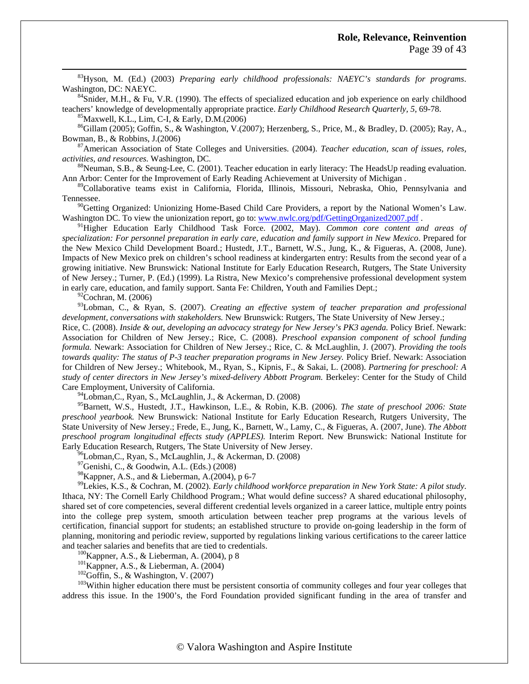83Hyson, M. (Ed.) (2003) *Preparing early childhood professionals: NAEYC's standards for programs*. Washington, DC: NAEYC.<br><sup>84</sup>Snider, M.H., & Fu, V.R. (1990). The effects of specialized education and job experience on early childhood

teachers' knowledge of developmentally appropriate practice. *Early Childhood Research Quarterly, 5,* 69-78. <sup>85</sup>Maxwell, K.L., Lim, C-I, & Early, D.M.(2006)

 $^{86}$ Gillam (2005); Goffin, S., & Washington, V.(2007); Herzenberg, S., Price, M., & Bradley, D. (2005); Ray, A., Bowman, B., & Robbins, J.(2006)<br><sup>87</sup>American Association of State Colleges and Universities. (2004). *Teacher education, scan of issues, roles,* 

*activities, and resources.* Washington, DC.<br><sup>88</sup>Neuman, S.B., & Seung-Lee, C. (2001). Teacher education in early literacy: The HeadsUp reading evaluation.

Ann Arbor: Center for the Improvement of Early Reading Achievement at University of Michigan .

89Collaborative teams exist in California, Florida, Illinois, Missouri, Nebraska, Ohio, Pennsylvania and Tennessee.

<sup>90</sup>Getting Organized: Unionizing Home-Based Child Care Providers, a report by the National Women's Law. Washington DC. To view the unionization report, go to: [www.nwlc.org/pdf/GettingOrganized2007.pdf](http://www.nwlc.org/pdf/GettingOrganized2007.pdf) .<br><sup>91</sup>Higher Education Early Childhood Task Force. (2002, May). *Common core content and areas of* 

*specialization: For personnel preparation in early care, education and family support in New Mexico*. Prepared for the New Mexico Child Development Board.; Hustedt, J.T., Barnett, W.S., Jung, K., & Figueras, A. (2008, June). Impacts of New Mexico prek on children's school readiness at kindergarten entry: Results from the second year of a growing initiative. New Brunswick: National Institute for Early Education Research, Rutgers, The State University of New Jersey.; Turner, P. (Ed.) (1999). La Ristra, New Mexico's comprehensive professional development system in early care, education, and family support. Santa Fe: Children, Youth and Families Dept.;

 $^{92}$ Cochran, M. (2006)

93Lobman, C., & Ryan, S. (2007). *Creating an effective system of teacher preparation and professional development, conversations with stakeholders.* New Brunswick: Rutgers, The State University of New Jersey.;

Rice, C. (2008). *Inside & out, developing an advocacy strategy for New Jersey's PK3 agenda.* Policy Brief. Newark: Association for Children of New Jersey.; Rice, C. (2008). *Preschool expansion component of school funding formula.* Newark: Association for Children of New Jersey.; Rice, C. & McLaughlin, J. (2007). *Providing the tools towards quality: The status of P-3 teacher preparation programs in New Jersey.* Policy Brief. Newark: Association for Children of New Jersey.; Whitebook, M., Ryan, S., Kipnis, F., & Sakai, L. (2008). *Partnering for preschool: A study of center directors in New Jersey's mixed-delivery Abbott Program.* Berkeley: Center for the Study of Child Care Employment, University of California.<br><sup>94</sup>Lobman,C., Ryan, S., McLaughlin, J., & Ackerman, D. (2008)

95Barnett, W.S., Hustedt, J.T., Hawkinson, L.E., & Robin, K.B. (2006). *The state of preschool 2006: State preschool yearbook.* New Brunswick: National Institute for Early Education Research, Rutgers University, The State University of New Jersey.; Frede, E., Jung, K., Barnett, W., Lamy, C., & Figueras, A. (2007, June). *The Abbott preschool program longitudinal effects study (APPLES).* Interim Report. New Brunswick: National Institute for Early Education Research, Rutgers, The State University of New Jersey.

<sup>96</sup>Lobman, C., Ryan, S., McLaughlin, J., & Ackerman, D. (2008)

97Genishi, C., & Goodwin, A.L. (Eds.) (2008)

 $^{98}$ Kappner, A.S., and & Lieberman, A.(2004), p 6-7

99Lekies, K.S., & Cochran, M. (2002). *Early childhood workforce preparation in New York State: A pilot study*. Ithaca, NY: The Cornell Early Childhood Program.; What would define success? A shared educational philosophy, shared set of core competencies, several different credential levels organized in a career lattice, multiple entry points into the college prep system, smooth articulation between teacher prep programs at the various levels of certification, financial support for students; an established structure to provide on-going leadership in the form of planning, monitoring and periodic review, supported by regulations linking various certifications to the career lattice and teacher salaries and benefits that are tied to credentials.<br>
<sup>100</sup>Kappner, A.S., & Lieberman, A. (2004), p 8<br>
<sup>101</sup>Kappner, A.S., & Lieberman, A. (2004)<br>
<sup>102</sup>Goffin, S., & Washington, V. (2007)<br>
<sup>103</sup>Within higher ed

address this issue. In the 1900's, the Ford Foundation provided significant funding in the area of transfer and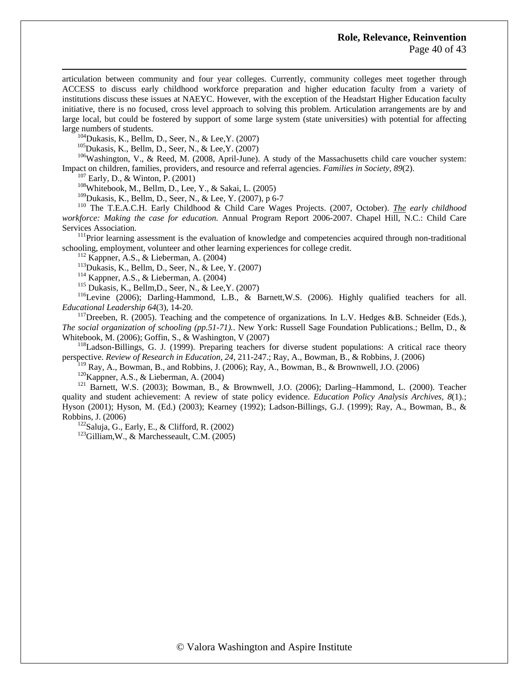articulation between community and four year colleges. Currently, community colleges meet together through ACCESS to discuss early childhood workforce preparation and higher education faculty from a variety of institutions discuss these issues at NAEYC. However, with the exception of the Headstart Higher Education faculty initiative, there is no focused, cross level approach to solving this problem. Articulation arrangements are by and large local, but could be fostered by support of some large system (state universities) with potential for affecting large numbers of students.<br><sup>104</sup>Dukasis, K., Bellm, D., Seer, N., & Lee, Y. (2007)<br><sup>105</sup>Dukasis, K., Bellm, D., Seer, N., & Lee, Y. (2007)

 $106$ Washington, V., & Reed, M. (2008, April-June). A study of the Massachusetts child care voucher system: Impact on children, families, providers, and resource and referral agencies. *Families in Society, 89*(2).<br><sup>107</sup> Early, D., & Winton, P. (2001)<br><sup>108</sup>Whitebook, M., Bellm, D., Lee, Y., & Sakai, L. (2005)<br><sup>109</sup>Dukasis, K., B

<sup>110</sup> The T.E.A.C.H. Early Childhood & Child Care Wages Projects. (2007, October). *The early childhood workforce: Making the case for education.* Annual Program Report 2006-2007. Chapel Hill, N.C.: Child Care Services Association.<br><sup>111</sup>Prior learning assessment is the evaluation of knowledge and competencies acquired through non-traditional

schooling, employment, volunteer and other learning experiences for college credit.<br>
<sup>112</sup> Kappner, A.S., & Lieberman, A. (2004)<br>
<sup>113</sup> Dukasis, K., Bellm, D., Seer, N., & Lee, Y. (2007)<br>
<sup>114</sup> Kappner, A.S., & Lieberman,

*Educational Leadership 64*(3), 14-20.<br><sup>117</sup>Dreeben, R. (2005). Teaching and the competence of organizations. In L.V. Hedges &B. Schneider (Eds.),

*The social organization of schooling (pp.51-71).*. New York: Russell Sage Foundation Publications.; Bellm, D., & Whitebook, M. (2006); Goffin, S., & Washington, V (2007)<br><sup>118</sup>Ladson-Billings, G. J. (1999). Preparing teachers for diverse student populations: A critical race theory

perspective. *Review of Research in Education, 24*, 211-247.; Ray, A., Bowman, B., & Robbins, J. (2006)<br><sup>119</sup> Ray, A., Bowman, B., and Robbins, J. (2006); Ray, A., Bowman, B., & Brownwell, J.O. (2006)

<sup>120</sup>Kappner, A.S., & Lieberman, A. (2004)<br><sup>121</sup> Barnett, W.S. (2003); Bowman, B., & Brownwell, J.O. (2006); Darling–Hammond, L. (2000). Teacher quality and student achievement: A review of state policy evidence. *Education Policy Analysis Archives, 8*(1).; Hyson (2001); Hyson, M. (Ed.) (2003); Kearney (1992); Ladson-Billings, G.J. (1999); Ray, A., Bowman, B., & Robbins, J. (2006)<br><sup>122</sup>Saluja, G., Early, E., & Clifford, R. (2002)<br><sup>123</sup>Gilliam, W., & Marchesseault, C.M. (2005)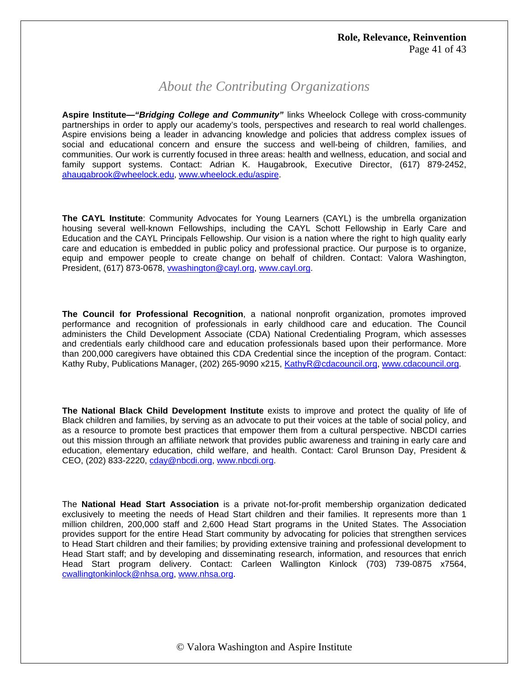# *About the Contributing Organizations*

**Aspire Institute—***"Bridging College and Community"* links Wheelock College with cross-community partnerships in order to apply our academy's tools, perspectives and research to real world challenges. Aspire envisions being a leader in advancing knowledge and policies that address complex issues of social and educational concern and ensure the success and well-being of children, families, and communities. Our work is currently focused in three areas: health and wellness, education, and social and family support systems. Contact: Adrian K. Haugabrook, Executive Director, (617) 879-2452, [ahaugabrook@wheelock.edu,](mailto:ahaugabrook@wheelock.edu) [www.wheelock.edu/aspire.](http://www.wheelock.edu/aspire)

**The CAYL Institute**: Community Advocates for Young Learners (CAYL) is the umbrella organization housing several well-known Fellowships, including the CAYL Schott Fellowship in Early Care and Education and the CAYL Principals Fellowship. Our vision is a nation where the right to high quality early care and education is embedded in public policy and professional practice. Our purpose is to organize, equip and empower people to create change on behalf of children. Contact: Valora Washington, President, (617) 873-0678, [vwashington@cayl.org](mailto:vwashington@cayl.org), [www.cayl.org.](http://www.cayl.org/)

**The Council for Professional Recognition**, a national nonprofit organization, promotes improved performance and recognition of professionals in early childhood care and education. The Council administers the Child Development Associate (CDA) National Credentialing Program, which assesses and credentials early childhood care and education professionals based upon their performance. More than 200,000 caregivers have obtained this CDA Credential since the inception of the program. Contact: Kathy Ruby, Publications Manager, (202) 265-9090 x215, [KathyR@cdacouncil.org,](mailto:JCruz@cdacouncil.org) [www.cdacouncil.org](http://www.cdacouncil.org/).

**The National Black Child Development Institute** exists to improve and protect the quality of life of Black children and families, by serving as an advocate to put their voices at the table of social policy, and as a resource to promote best practices that empower them from a cultural perspective. NBCDI carries out this mission through an affiliate network that provides public awareness and training in early care and education, elementary education, child welfare, and health. Contact: Carol Brunson Day, President & CEO, (202) 833-2220, [cday@nbcdi.org,](mailto:cday@nbcdi.org) [www.nbcdi.org.](http://www.nbcdi.org/)

The **National Head Start Association** is a private not-for-profit membership organization dedicated exclusively to meeting the needs of Head Start children and their families. It represents more than 1 million children, 200,000 staff and 2,600 Head Start programs in the United States. The Association provides support for the entire Head Start community by advocating for policies that strengthen services to Head Start children and their families; by providing extensive training and professional development to Head Start staff; and by developing and disseminating research, information, and resources that enrich Head Start program delivery. Contact: Carleen Wallington Kinlock (703) 739-0875 x7564, [cwallingtonkinlock@nhsa.org](mailto:cwallingtonkinlock@nhsa.org), [www.nhsa.org](http://www.nhsa.org/).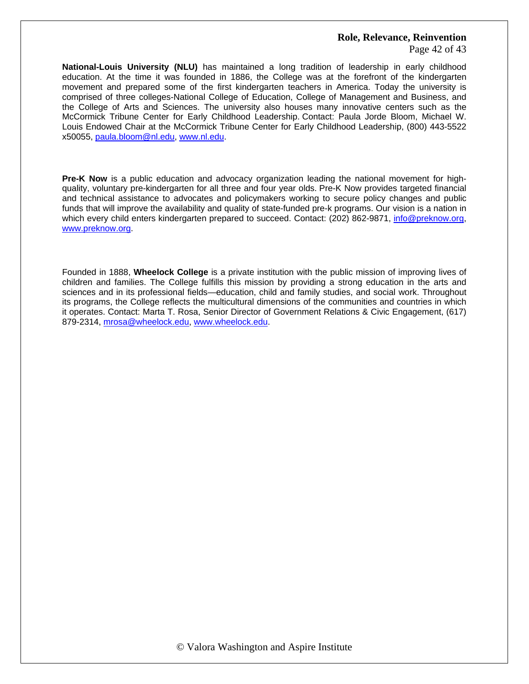Page 42 of 43

**National-Louis University (NLU)** has maintained a long tradition of leadership in early childhood education. At the time it was founded in 1886, the College was at the forefront of the kindergarten movement and prepared some of the first kindergarten teachers in America. Today the university is comprised of three colleges-National College of Education, College of Management and Business, and the College of Arts and Sciences. The university also houses many innovative centers such as the McCormick Tribune Center for Early Childhood Leadership. Contact: Paula Jorde Bloom, Michael W. Louis Endowed Chair at the McCormick Tribune Center for Early Childhood Leadership, (800) 443-5522 x50055, [paula.bloom@nl.edu](mailto:paula.bloom@nl.edu), [www.nl.edu](http://www.nl.edu/).

**Pre-K Now** is a public education and advocacy organization leading the national movement for highquality, voluntary pre-kindergarten for all three and four year olds. Pre-K Now provides targeted financial and technical assistance to advocates and policymakers working to secure policy changes and public funds that will improve the availability and quality of state-funded pre-k programs. Our vision is a nation in which every child enters kindergarten prepared to succeed. Contact: (202) 862-9871, [info@preknow.org](mailto:info@preknow.org), [www.preknow.org.](http://www.preknow.org/)

Founded in 1888, **Wheelock College** is a private institution with the public mission of improving lives of children and families. The College fulfills this mission by providing a strong education in the arts and sciences and in its professional fields—education, child and family studies, and social work. Throughout its programs, the College reflects the multicultural dimensions of the communities and countries in which it operates. Contact: Marta T. Rosa, Senior Director of Government Relations & Civic Engagement, (617) 879-2314, [mrosa@wheelock.edu,](mailto:mrosa@wheelock.edu) [www.wheelock.edu](http://www.wheelock.edu/).